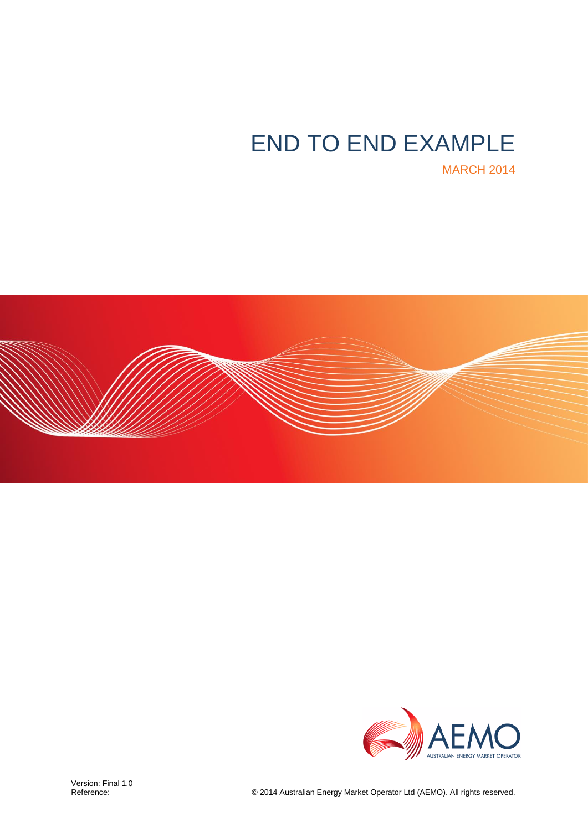# END TO END EXAMPLE

MARCH 2014



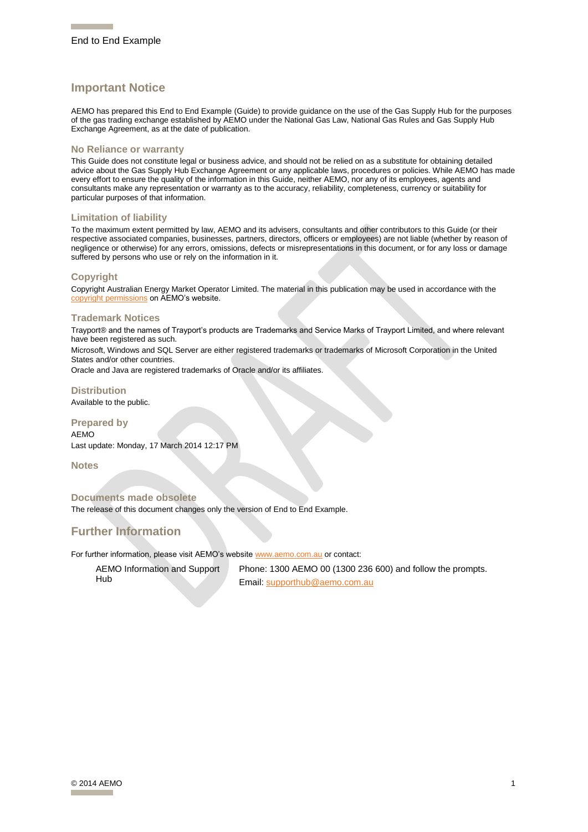#### **Important Notice**

AEMO has prepared this End to End Example (Guide) to provide guidance on the use of the Gas Supply Hub for the purposes of the gas trading exchange established by AEMO under the National Gas Law, National Gas Rules and Gas Supply Hub Exchange Agreement, as at the date of publication.

#### **No Reliance or warranty**

This Guide does not constitute legal or business advice, and should not be relied on as a substitute for obtaining detailed advice about the Gas Supply Hub Exchange Agreement or any applicable laws, procedures or policies. While AEMO has made every effort to ensure the quality of the information in this Guide, neither AEMO, nor any of its employees, agents and consultants make any representation or warranty as to the accuracy, reliability, completeness, currency or suitability for particular purposes of that information.

#### **Limitation of liability**

To the maximum extent permitted by law, AEMO and its advisers, consultants and other contributors to this Guide (or their respective associated companies, businesses, partners, directors, officers or employees) are not liable (whether by reason of negligence or otherwise) for any errors, omissions, defects or misrepresentations in this document, or for any loss or damage suffered by persons who use or rely on the information in it.

#### **Copyright**

Copyright Australian Energy Market Operator Limited. The material in this publication may be used in accordance with the vright permissions on AEMO's website.

#### **Trademark Notices**

Trayport® and the names of Trayport's products are Trademarks and Service Marks of Trayport Limited, and where relevant have been registered as such.

Microsoft, Windows and SQL Server are either registered trademarks or trademarks of Microsoft Corporation in the United States and/or other countries.

Oracle and Java are registered trademarks of Oracle and/or its affiliates.

#### **Distribution**

Available to the public.

#### **Prepared by**

AEMO Last update: Monday, 17 March 2014 12:17 PM

**Notes**

#### **Documents made obsolete**

The release of this document changes only the version of End to End Example.

#### **Further Information**

For further information, please visit AEMO's websit[e www.aemo.com.au](http://www.aemo.com.au/) or contact:

AEMO Information and Support Hub

Phone: 1300 AEMO 00 (1300 236 600) and follow the prompts. Email[: supporthub@aemo.com.au](mailto:supporthub@aemo.com.au)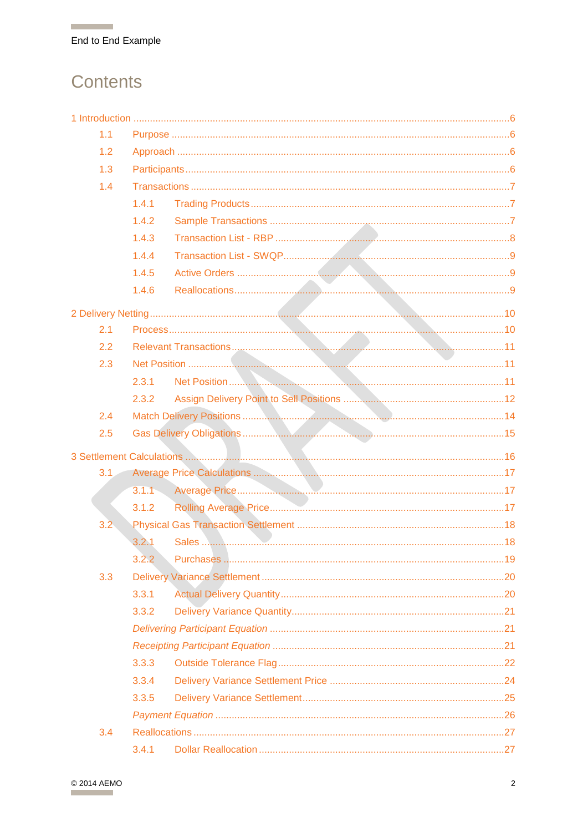## **Contents**

**Contract Contract** 

| 1.1 |       |  |
|-----|-------|--|
| 1.2 |       |  |
| 1.3 |       |  |
| 1.4 |       |  |
|     | 1.4.1 |  |
|     | 1.4.2 |  |
|     | 1.4.3 |  |
|     | 1.4.4 |  |
|     | 1.4.5 |  |
|     | 1.4.6 |  |
|     |       |  |
| 2.1 |       |  |
| 2.2 |       |  |
| 2.3 |       |  |
|     | 2.3.1 |  |
|     | 2.3.2 |  |
| 2.4 |       |  |
| 2.5 |       |  |
|     |       |  |
| 3.1 |       |  |
|     |       |  |
|     | 3.1.2 |  |
| 3.2 |       |  |
|     | 3.2.1 |  |
|     | 3.2.2 |  |
| 3.3 |       |  |
|     | 3.3.1 |  |
|     | 3.3.2 |  |
|     |       |  |
|     |       |  |
|     | 3.3.3 |  |
|     | 3.3.4 |  |
|     | 3.3.5 |  |
|     |       |  |
| 3.4 |       |  |
|     | 3.4.1 |  |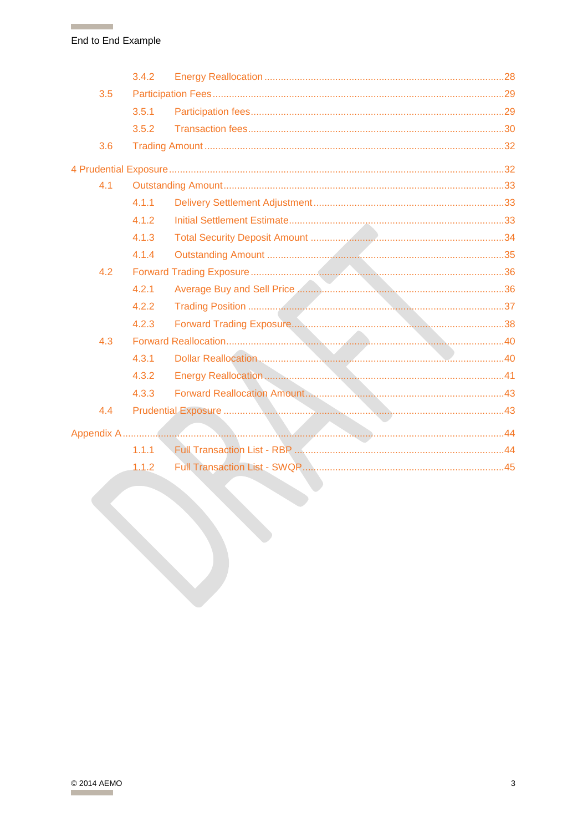**The Common** 

|     | 3.4.2 |  |
|-----|-------|--|
| 3.5 |       |  |
|     | 3.5.1 |  |
|     | 3.5.2 |  |
| 3.6 |       |  |
|     |       |  |
| 4.1 |       |  |
|     | 4.1.1 |  |
|     | 4.1.2 |  |
|     | 4.1.3 |  |
|     | 4.1.4 |  |
| 4.2 |       |  |
|     | 4.2.1 |  |
|     | 4.2.2 |  |
|     | 4.2.3 |  |
| 4.3 |       |  |
|     | 4.3.1 |  |
|     | 4.3.2 |  |
|     | 4.3.3 |  |
| 4.4 |       |  |
|     |       |  |
|     | 1.1.1 |  |
|     | 1.1.2 |  |
|     |       |  |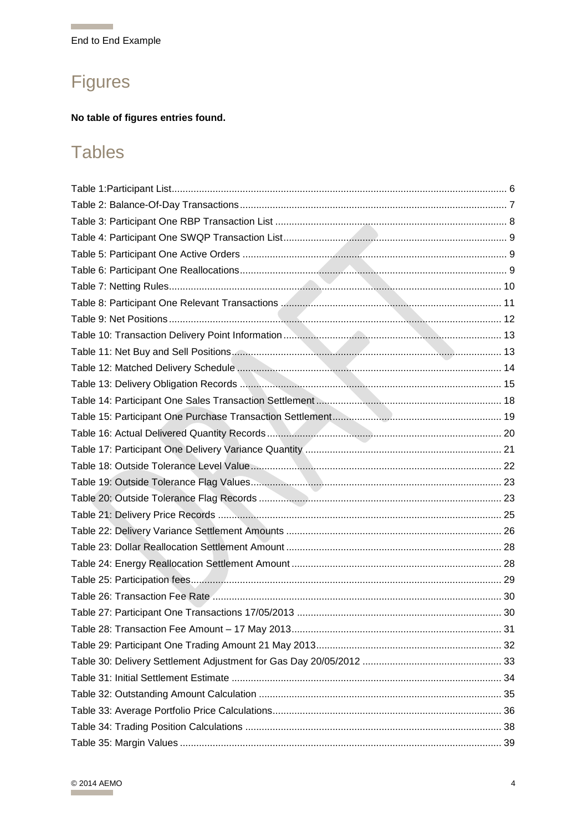## **Figures**

**The Common** 

#### No table of figures entries found.

## **Tables**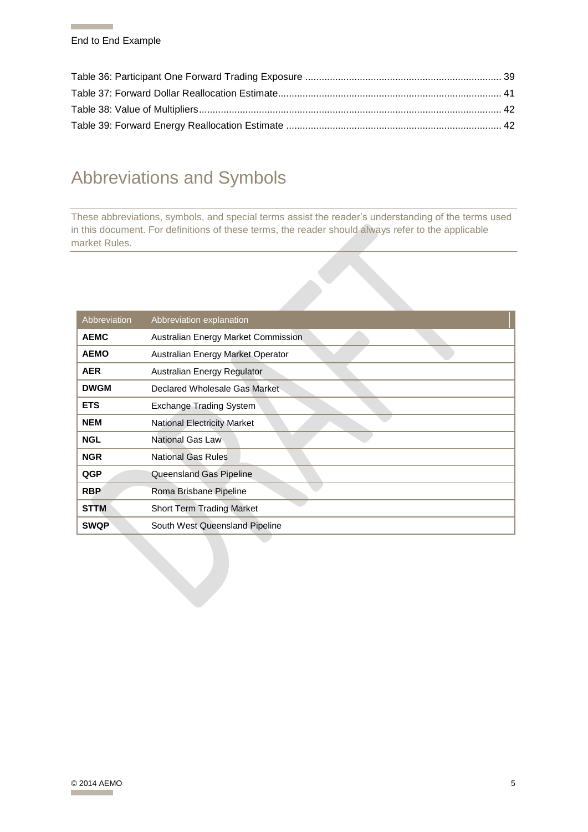## Abbreviations and Symbols

These abbreviations, symbols, and special terms assist the reader's understanding of the terms used in this document. For definitions of these terms, the reader should always refer to the applicable market Rules.

| Abbreviation | Abbreviation explanation            |
|--------------|-------------------------------------|
| <b>AEMC</b>  | Australian Energy Market Commission |
| <b>AEMO</b>  | Australian Energy Market Operator   |
| <b>AER</b>   | Australian Energy Regulator         |
| <b>DWGM</b>  | Declared Wholesale Gas Market       |
| <b>ETS</b>   | Exchange Trading System             |
| <b>NEM</b>   | <b>National Electricity Market</b>  |
| <b>NGL</b>   | National Gas Law                    |
| <b>NGR</b>   | <b>National Gas Rules</b>           |
| QGP          | Queensland Gas Pipeline             |
| <b>RBP</b>   | Roma Brisbane Pipeline              |
| <b>STTM</b>  | <b>Short Term Trading Market</b>    |
| <b>SWQP</b>  | South West Queensland Pipeline      |
|              |                                     |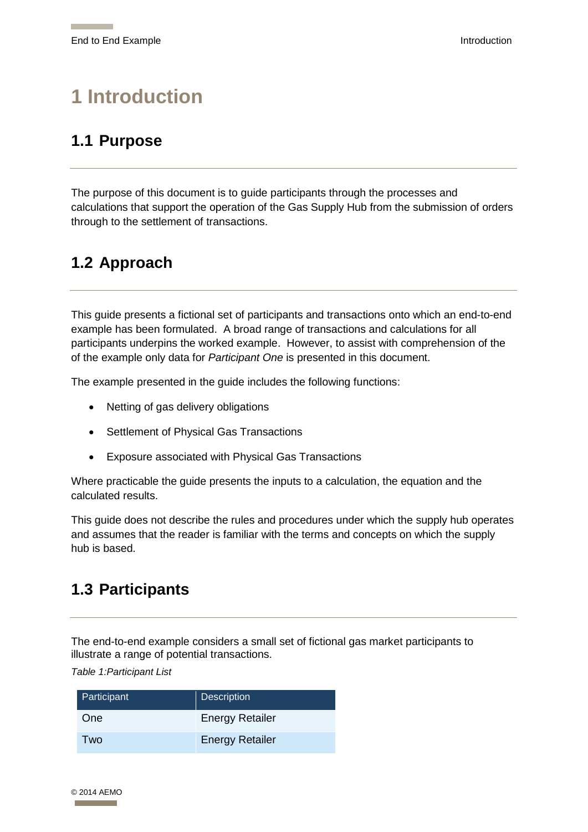## <span id="page-6-0"></span>**1 Introduction**

## <span id="page-6-1"></span>**1.1 Purpose**

The purpose of this document is to guide participants through the processes and calculations that support the operation of the Gas Supply Hub from the submission of orders through to the settlement of transactions.

## <span id="page-6-2"></span>**1.2 Approach**

This guide presents a fictional set of participants and transactions onto which an end-to-end example has been formulated. A broad range of transactions and calculations for all participants underpins the worked example. However, to assist with comprehension of the of the example only data for *Participant One* is presented in this document.

The example presented in the guide includes the following functions:

- Netting of gas delivery obligations
- Settlement of Physical Gas Transactions
- Exposure associated with Physical Gas Transactions

Where practicable the guide presents the inputs to a calculation, the equation and the calculated results.

This guide does not describe the rules and procedures under which the supply hub operates and assumes that the reader is familiar with the terms and concepts on which the supply hub is based.

## <span id="page-6-3"></span>**1.3 Participants**

The end-to-end example considers a small set of fictional gas market participants to illustrate a range of potential transactions.

<span id="page-6-4"></span>*Table 1:Participant List*

| Participant | Description            |
|-------------|------------------------|
| One         | <b>Energy Retailer</b> |
| Two         | <b>Energy Retailer</b> |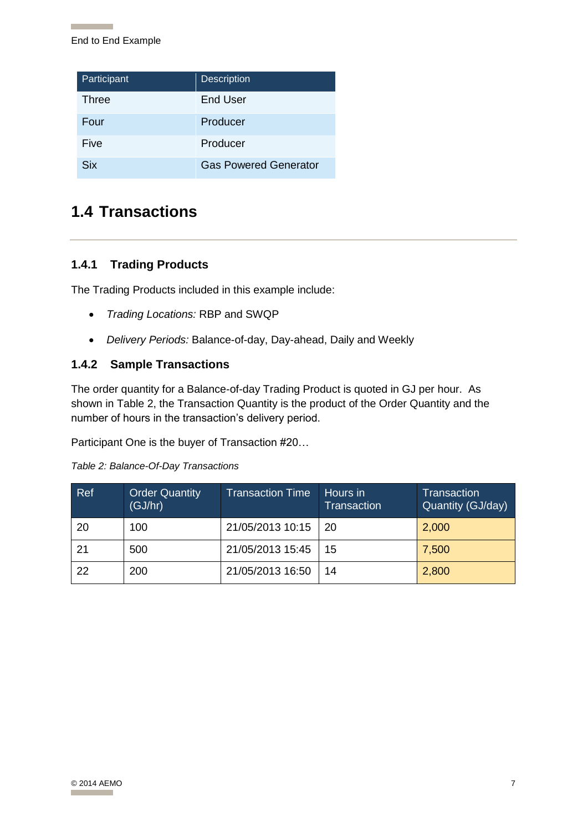| Participant | <b>Description</b>           |
|-------------|------------------------------|
| Three       | End User                     |
| Four        | Producer                     |
| Five        | Producer                     |
| Six         | <b>Gas Powered Generator</b> |

## <span id="page-7-0"></span>**1.4 Transactions**

#### <span id="page-7-1"></span>**1.4.1 Trading Products**

The Trading Products included in this example include:

- *Trading Locations:* RBP and SWQP
- *Delivery Periods:* Balance-of-day, Day-ahead, Daily and Weekly

#### <span id="page-7-2"></span>**1.4.2 Sample Transactions**

The order quantity for a Balance-of-day Trading Product is quoted in GJ per hour. As shown in [Table 2,](#page-7-3) the Transaction Quantity is the product of the Order Quantity and the number of hours in the transaction's delivery period.

Participant One is the buyer of Transaction #20…

| Ref | <b>Order Quantity</b><br>(GJ/hr) | <b>Transaction Time</b> | Hours in<br><b>Transaction</b> | <b>Transaction</b><br>Quantity (GJ/day) |
|-----|----------------------------------|-------------------------|--------------------------------|-----------------------------------------|
| 20  | 100                              | 21/05/2013 10:15        | 20                             | 2,000                                   |
| 21  | 500                              | 21/05/2013 15:45        | 15                             | 7,500                                   |
| 22  | 200                              | 21/05/2013 16:50        | 14                             | 2,800                                   |

<span id="page-7-3"></span>*Table 2: Balance-Of-Day Transactions*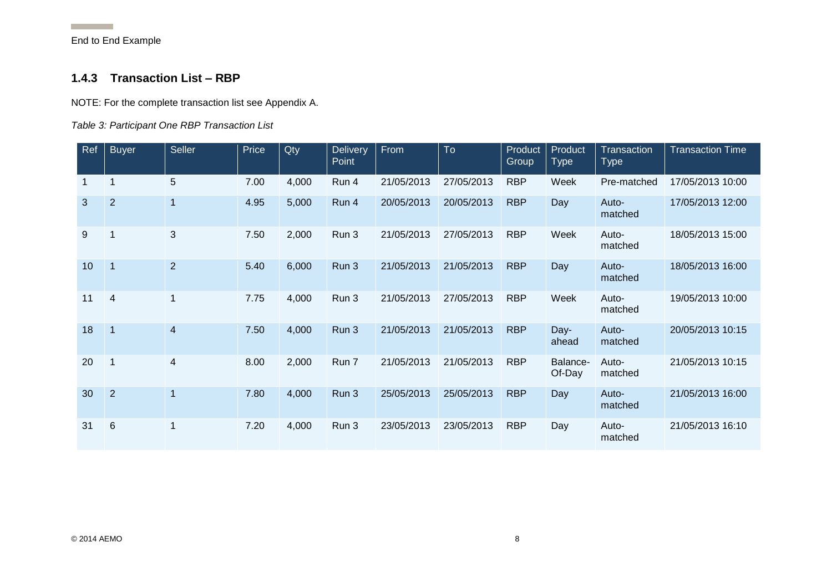**Contract Contract** 

#### **1.4.3 Transaction List – RBP**

NOTE: For the complete transaction list see Appendix A.

#### *Table 3: Participant One RBP Transaction List*

<span id="page-8-1"></span><span id="page-8-0"></span>

| Ref | <b>Buyer</b>    | <b>Seller</b>  | Price | Qty   | <b>Delivery</b><br>Point | From       | To         | Product<br>Group | Product<br><b>Type</b> | <b>Transaction</b><br><b>Type</b> | <b>Transaction Time</b> |
|-----|-----------------|----------------|-------|-------|--------------------------|------------|------------|------------------|------------------------|-----------------------------------|-------------------------|
|     | 1               | 5              | 7.00  | 4,000 | Run 4                    | 21/05/2013 | 27/05/2013 | <b>RBP</b>       | Week                   | Pre-matched                       | 17/05/2013 10:00        |
| 3   | $\overline{2}$  | $\overline{1}$ | 4.95  | 5,000 | Run 4                    | 20/05/2013 | 20/05/2013 | <b>RBP</b>       | Day                    | Auto-<br>matched                  | 17/05/2013 12:00        |
| 9   |                 | 3              | 7.50  | 2,000 | Run 3                    | 21/05/2013 | 27/05/2013 | <b>RBP</b>       | Week                   | Auto-<br>matched                  | 18/05/2013 15:00        |
| 10  | $\overline{1}$  | $\overline{2}$ | 5.40  | 6,000 | Run 3                    | 21/05/2013 | 21/05/2013 | <b>RBP</b>       | Day                    | Auto-<br>matched                  | 18/05/2013 16:00        |
| 11  | $\overline{4}$  | 1              | 7.75  | 4,000 | Run 3                    | 21/05/2013 | 27/05/2013 | <b>RBP</b>       | Week                   | Auto-<br>matched                  | 19/05/2013 10:00        |
| 18  | $\mathbf{1}$    | $\overline{4}$ | 7.50  | 4,000 | Run 3                    | 21/05/2013 | 21/05/2013 | <b>RBP</b>       | Day-<br>ahead          | Auto-<br>matched                  | 20/05/2013 10:15        |
| 20  |                 | 4              | 8.00  | 2,000 | Run 7                    | 21/05/2013 | 21/05/2013 | <b>RBP</b>       | Balance-<br>Of-Day     | Auto-<br>matched                  | 21/05/2013 10:15        |
| 30  | $\overline{2}$  | $\overline{1}$ | 7.80  | 4,000 | Run 3                    | 25/05/2013 | 25/05/2013 | <b>RBP</b>       | Day                    | Auto-<br>matched                  | 21/05/2013 16:00        |
| 31  | $6\phantom{1}6$ | $\mathbf 1$    | 7.20  | 4,000 | Run 3                    | 23/05/2013 | 23/05/2013 | <b>RBP</b>       | Day                    | Auto-<br>matched                  | 21/05/2013 16:10        |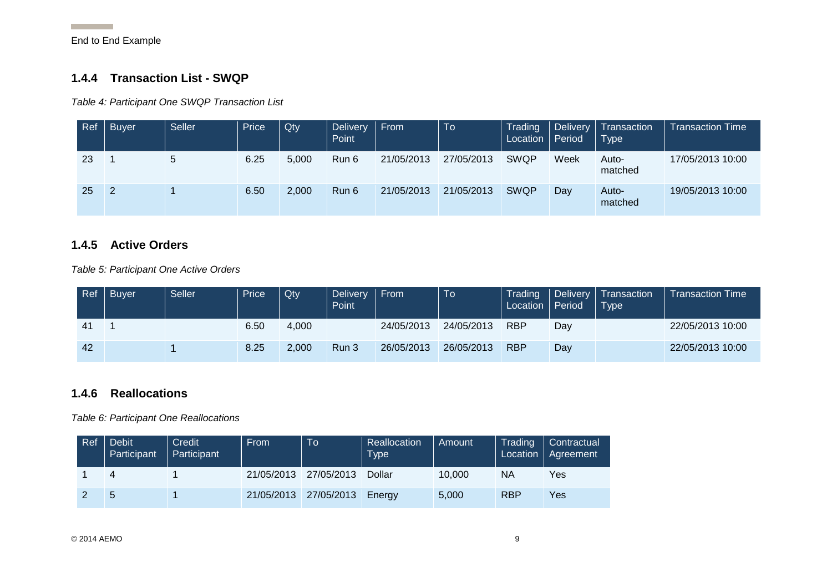**Contract Contract** 

#### **1.4.4 Transaction List - SWQP**

*Table 4: Participant One SWQP Transaction List*

| Ref | <b>Buyer</b> | <b>Seller</b> | Price | Qty   | <b>Delivery</b><br>Point | From       | To         | Trading<br>Local | Period | Delivery   Transaction<br>$\mathsf{Type}$ | <b>Transaction Time</b> |
|-----|--------------|---------------|-------|-------|--------------------------|------------|------------|------------------|--------|-------------------------------------------|-------------------------|
| 23  |              | 5             | 6.25  | 5,000 | Run 6                    | 21/05/2013 | 27/05/2013 | <b>SWQP</b>      | Week   | Auto-<br>matched                          | 17/05/2013 10:00        |
| 25  | -2           |               | 6.50  | 2,000 | Run 6                    | 21/05/2013 | 21/05/2013 | <b>SWQP</b>      | Day    | Auto-<br>matched                          | 19/05/2013 10:00        |

#### **1.4.5 Active Orders**

*Table 5: Participant One Active Orders*

<span id="page-9-0"></span>

| Ref | <b>Buyer</b> | <b>Seller</b> | Price | Qty   | <b>Delivery</b><br><b>Point</b> | From       | <b>To</b>  | Trading<br>Location Period |     | Delivery   Transaction<br>Type | <b>Transaction Time</b> |
|-----|--------------|---------------|-------|-------|---------------------------------|------------|------------|----------------------------|-----|--------------------------------|-------------------------|
| 41  |              |               | 6.50  | 4.000 |                                 | 24/05/2013 | 24/05/2013 | <b>RBP</b>                 | Day |                                | 22/05/2013 10:00        |
| 42  |              |               | 8.25  | 2.000 | Run 3                           | 26/05/2013 | 26/05/2013 | <b>RBP</b>                 | Day |                                | 22/05/2013 10:00        |

#### <span id="page-9-3"></span>**1.4.6 Reallocations**

<span id="page-9-6"></span>*Table 6: Participant One Reallocations*

<span id="page-9-5"></span><span id="page-9-4"></span><span id="page-9-2"></span><span id="page-9-1"></span>

| Ref | Debit <sup>1</sup><br>Participant | Credit<br>Participant | <b>From</b> | To         | Reallocation<br>Type | Amount | Trading<br>Location | Contractual<br>Agreement |
|-----|-----------------------------------|-----------------------|-------------|------------|----------------------|--------|---------------------|--------------------------|
|     |                                   |                       | 21/05/2013  | 27/05/2013 | Dollar               | 10.000 | NA                  | Yes                      |
|     |                                   |                       | 21/05/2013  | 27/05/2013 | Enerav               | 5,000  | <b>RBP</b>          | Yes                      |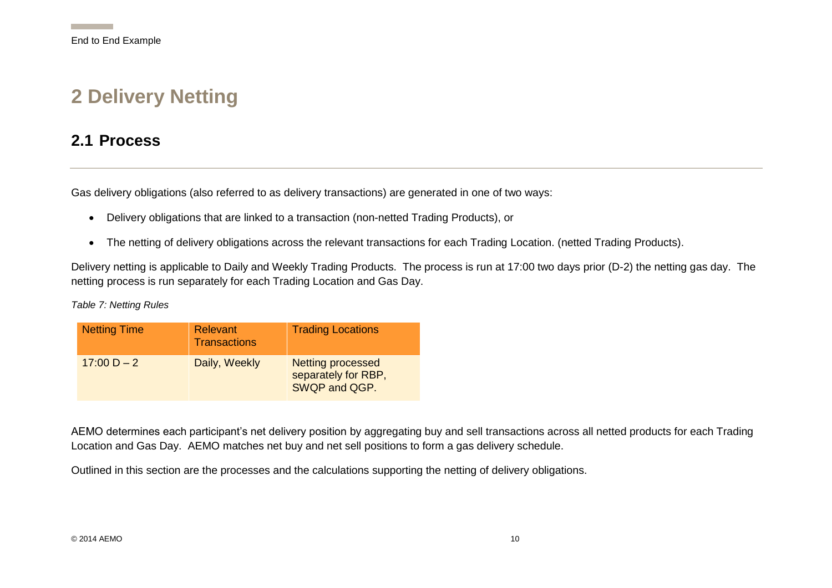## **2 Delivery Netting**

### **2.1 Process**

Gas delivery obligations (also referred to as delivery transactions) are generated in one of two ways:

- Delivery obligations that are linked to a transaction (non-netted Trading Products), or
- The netting of delivery obligations across the relevant transactions for each Trading Location. (netted Trading Products).

Delivery netting is applicable to Daily and Weekly Trading Products. The process is run at 17:00 two days prior (D-2) the netting gas day. The netting process is run separately for each Trading Location and Gas Day.

*Table 7: Netting Rules*

<span id="page-10-1"></span><span id="page-10-0"></span>

| <b>Netting Time</b> | Relevant<br><b>Transactions</b> | <b>Trading Locations</b>                                         |
|---------------------|---------------------------------|------------------------------------------------------------------|
| $17:00 D - 2$       | Daily, Weekly                   | <b>Netting processed</b><br>separately for RBP,<br>SWQP and QGP. |

AEMO determines each participant's net delivery position by aggregating buy and sell transactions across all netted products for each Trading Location and Gas Day. AEMO matches net buy and net sell positions to form a gas delivery schedule.

<span id="page-10-2"></span>Outlined in this section are the processes and the calculations supporting the netting of delivery obligations.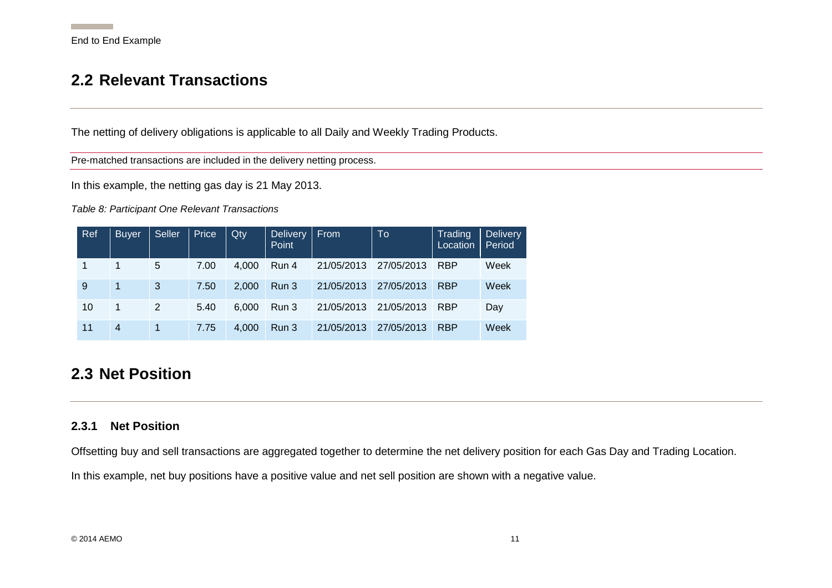## **2.2 Relevant Transactions**

The netting of delivery obligations is applicable to all Daily and Weekly Trading Products.

Pre-matched transactions are included in the delivery netting process.

In this example, the netting gas day is 21 May 2013.

*Table 8: Participant One Relevant Transactions*

| Ref | <b>Buyer</b>   | Seller | Price | Qty   | Delivery<br>Point | <b>From</b> | To         | Trading<br>Location | <b>Delivery</b><br>Period |
|-----|----------------|--------|-------|-------|-------------------|-------------|------------|---------------------|---------------------------|
| 1   |                | 5      | 7.00  | 4.000 | Run 4             | 21/05/2013  | 27/05/2013 | <b>RBP</b>          | Week                      |
| 9   | $\mathbf 1$    | 3      | 7.50  | 2.000 | Run 3             | 21/05/2013  | 27/05/2013 | <b>RBP</b>          | Week                      |
| 10  | 1              | 2      | 5.40  | 6.000 | Run 3             | 21/05/2013  | 21/05/2013 | <b>RBP</b>          | Day                       |
| 11  | $\overline{4}$ | 1      | 7.75  | 4.000 | Run 3             | 21/05/2013  | 27/05/2013 | <b>RBP</b>          | Week                      |

### <span id="page-11-0"></span>**2.3 Net Position**

#### **2.3.1 Net Position**

<span id="page-11-3"></span>Offsetting buy and sell transactions are aggregated together to determine the net delivery position for each Gas Day and Trading Location.

<span id="page-11-2"></span><span id="page-11-1"></span>In this example, net buy positions have a positive value and net sell position are shown with a negative value.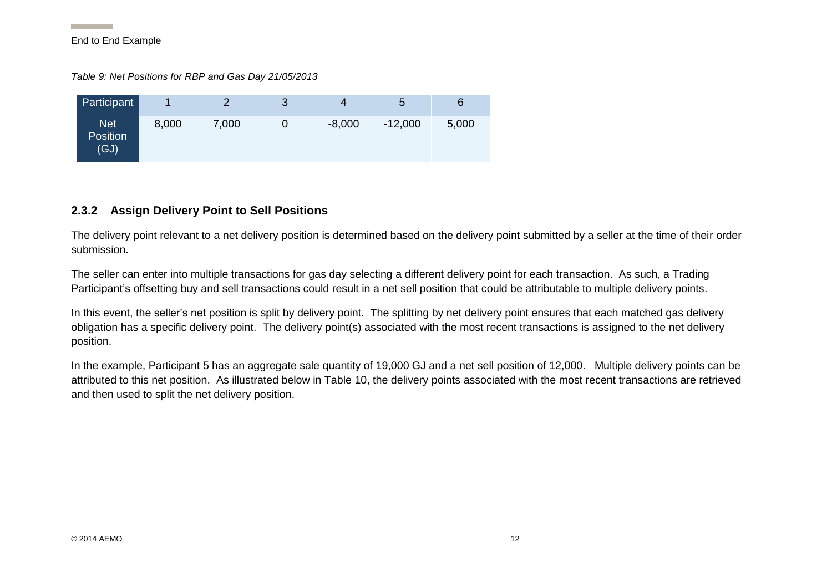*Table 9: Net Positions for RBP and Gas Day 21/05/2013*

| Participant                    |       |       | 3 | 4        | 5         | 6     |
|--------------------------------|-------|-------|---|----------|-----------|-------|
| Net<br><b>Position</b><br>(GJ) | 8,000 | 7,000 |   | $-8,000$ | $-12,000$ | 5,000 |

#### **2.3.2 Assign Delivery Point to Sell Positions**

The delivery point relevant to a net delivery position is determined based on the delivery point submitted by a seller at the time of their order submission.

The seller can enter into multiple transactions for gas day selecting a different delivery point for each transaction. As such, a Trading Participant's offsetting buy and sell transactions could result in a net sell position that could be attributable to multiple delivery points.

<span id="page-12-1"></span>In this event, the seller's net position is split by delivery point. The splitting by net delivery point ensures that each matched gas delivery obligation has a specific delivery point. The delivery point(s) associated with the most recent transactions is assigned to the net delivery position.

<span id="page-12-0"></span>In the example, Participant 5 has an aggregate sale quantity of 19,000 GJ and a net sell position of 12,000. Multiple delivery points can be attributed to this net position. As illustrated below in [Table 10,](#page-13-2) the delivery points associated with the most recent transactions are retrieved and then used to split the net delivery position.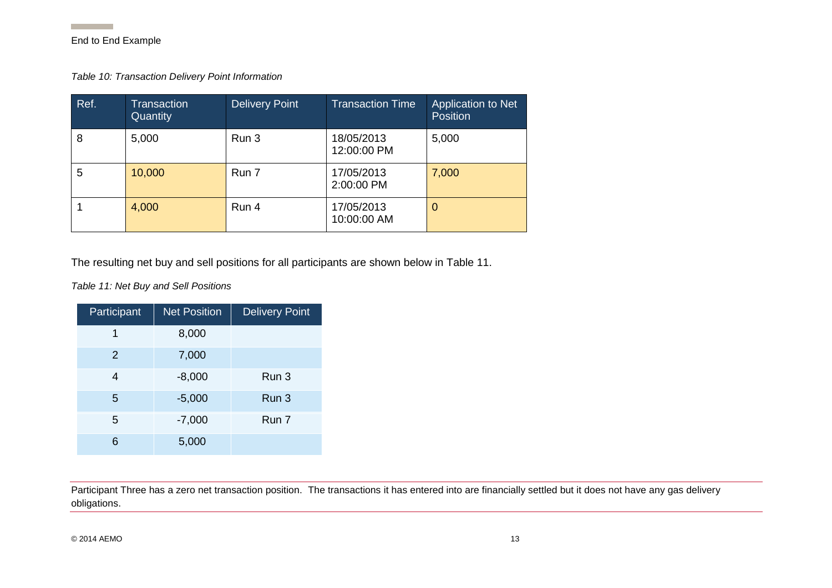**Contract Contract** 

<span id="page-13-2"></span>*Table 10: Transaction Delivery Point Information*

| Ref. | Transaction<br>Quantity | <b>Delivery Point</b> | <b>Transaction Time</b>   | Application to Net<br><b>Position</b> |
|------|-------------------------|-----------------------|---------------------------|---------------------------------------|
| 8    | 5,000                   | Run 3                 | 18/05/2013<br>12:00:00 PM | 5,000                                 |
| 5    | 10,000                  | Run 7                 | 17/05/2013<br>2:00:00 PM  | 7,000                                 |
|      | 4,000                   | Run 4                 | 17/05/2013<br>10:00:00 AM | 0                                     |

The resulting net buy and sell positions for all participants are shown below in [Table 11.](#page-13-3)

<span id="page-13-3"></span>*Table 11: Net Buy and Sell Positions*

<span id="page-13-0"></span>

| Participant | <b>Net Position</b> | <b>Delivery Point</b> |
|-------------|---------------------|-----------------------|
| 1           | 8,000               |                       |
| 2           | 7,000               |                       |
| 4           | $-8,000$            | Run 3                 |
| 5           | $-5,000$            | Run 3                 |
| 5           | $-7,000$            | Run 7                 |
| 6           | 5,000               |                       |

<span id="page-13-1"></span>Participant Three has a zero net transaction position. The transactions it has entered into are financially settled but it does not have any gas delivery obligations.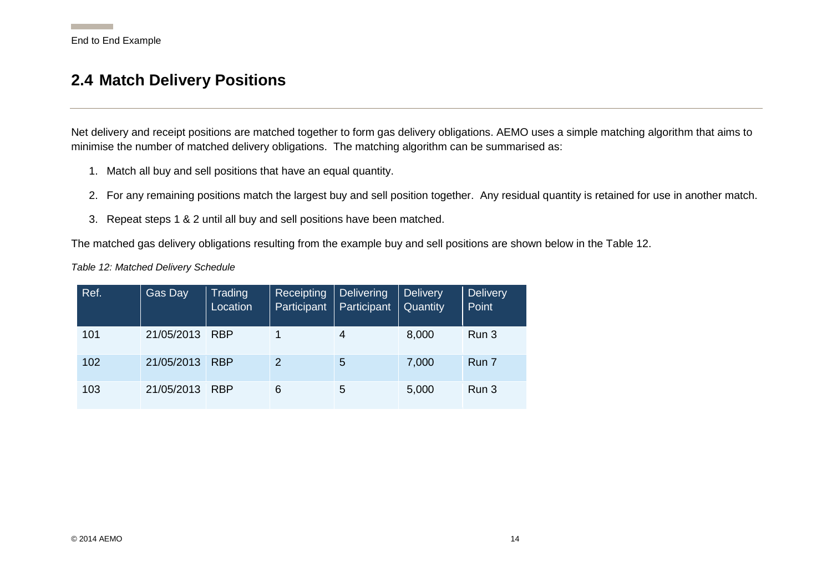### **2.4 Match Delivery Positions**

Net delivery and receipt positions are matched together to form gas delivery obligations. AEMO uses a simple matching algorithm that aims to minimise the number of matched delivery obligations. The matching algorithm can be summarised as:

- 1. Match all buy and sell positions that have an equal quantity.
- 2. For any remaining positions match the largest buy and sell position together. Any residual quantity is retained for use in another match.
- 3. Repeat steps 1 & 2 until all buy and sell positions have been matched.

The matched gas delivery obligations resulting from the example buy and sell positions are shown below in the [Table 12.](#page-14-2)

<span id="page-14-2"></span>*Table 12: Matched Delivery Schedule*

<span id="page-14-1"></span><span id="page-14-0"></span>

| Ref. | <b>Gas Day</b> | Trading<br>Location | Receipting<br>Participant | Delivering<br>Participant | <b>Delivery</b><br>Quantity | <b>Delivery</b><br>Point |
|------|----------------|---------------------|---------------------------|---------------------------|-----------------------------|--------------------------|
| 101  | 21/05/2013     | <b>RBP</b>          |                           | 4                         | 8,000                       | Run 3                    |
| 102  | 21/05/2013     | <b>RBP</b>          | 2                         | 5                         | 7,000                       | Run 7                    |
| 103  | 21/05/2013     | <b>RBP</b>          | 6                         | 5                         | 5,000                       | Run 3                    |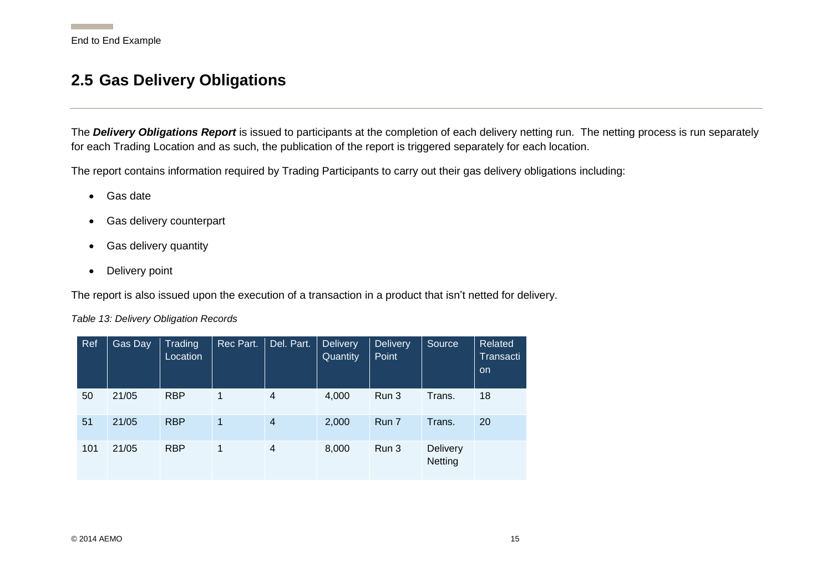### **2.5 Gas Delivery Obligations**

The *Delivery Obligations Report* is issued to participants at the completion of each delivery netting run. The netting process is run separately for each Trading Location and as such, the publication of the report is triggered separately for each location.

The report contains information required by Trading Participants to carry out their gas delivery obligations including:

- Gas date
- Gas delivery counterpart
- Gas delivery quantity
- Delivery point

The report is also issued upon the execution of a transaction in a product that isn't netted for delivery.

<span id="page-15-0"></span>*Table 13: Delivery Obligation Records*

<span id="page-15-1"></span>

| Ref | Gas Day | <b>Trading</b><br>Location | Rec Part.      | Del. Part.     | <b>Delivery</b><br>Quantity | <b>Delivery</b><br>Point | Source              | Related<br>Transacti<br>on. |
|-----|---------|----------------------------|----------------|----------------|-----------------------------|--------------------------|---------------------|-----------------------------|
| 50  | 21/05   | <b>RBP</b>                 | 1              | 4              | 4,000                       | Run 3                    | Trans.              | 18                          |
| 51  | 21/05   | <b>RBP</b>                 | $\overline{1}$ | $\overline{4}$ | 2,000                       | Run 7                    | Trans.              | 20                          |
| 101 | 21/05   | <b>RBP</b>                 | 1              | $\overline{4}$ | 8,000                       | Run 3                    | Delivery<br>Netting |                             |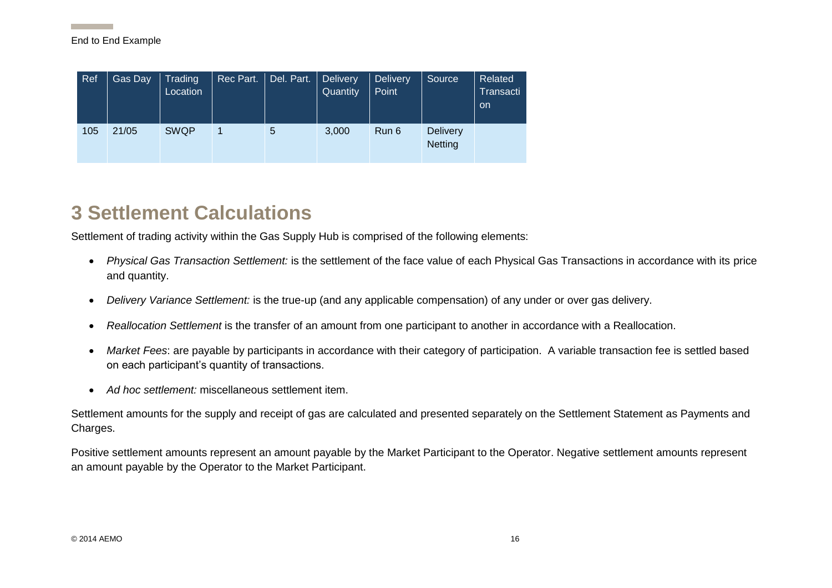| Ref | Gas Day | Trading<br>Location | Rec Part. | Del. Part. | <b>Delivery</b><br>Quantity | <b>Delivery</b><br>Point | Source                            | Related<br>Transacti<br>on. |
|-----|---------|---------------------|-----------|------------|-----------------------------|--------------------------|-----------------------------------|-----------------------------|
| 105 | 21/05   | <b>SWQP</b>         |           | 5          | 3,000                       | Run 6                    | <b>Delivery</b><br><b>Netting</b> |                             |

## **3 Settlement Calculations**

Settlement of trading activity within the Gas Supply Hub is comprised of the following elements:

- *Physical Gas Transaction Settlement:* is the settlement of the face value of each Physical Gas Transactions in accordance with its price and quantity.
- *Delivery Variance Settlement:* is the true-up (and any applicable compensation) of any under or over gas delivery.
- *Reallocation Settlement* is the transfer of an amount from one participant to another in accordance with a Reallocation.
- *Market Fees*: are payable by participants in accordance with their category of participation. A variable transaction fee is settled based on each participant's quantity of transactions.
- *Ad hoc settlement:* miscellaneous settlement item.

Settlement amounts for the supply and receipt of gas are calculated and presented separately on the Settlement Statement as Payments and Charges.

<span id="page-16-0"></span>Positive settlement amounts represent an amount payable by the Market Participant to the Operator. Negative settlement amounts represent an amount payable by the Operator to the Market Participant.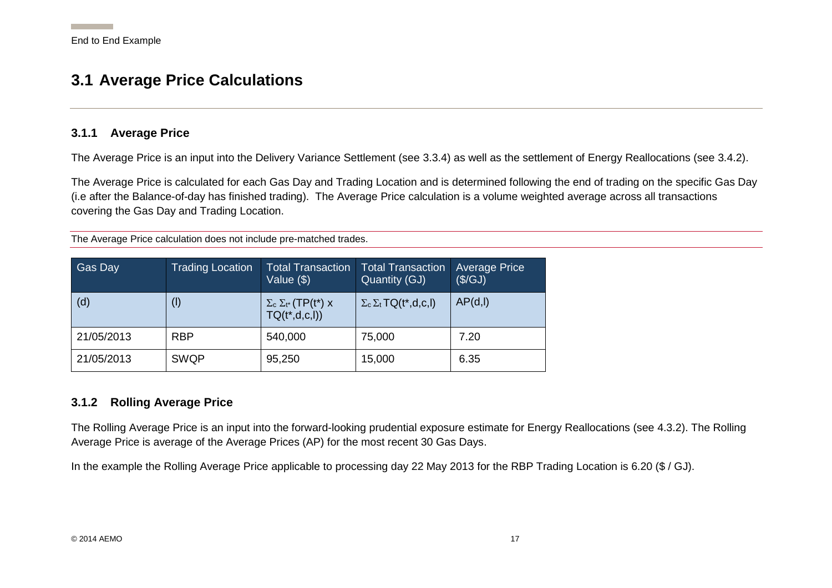### **3.1 Average Price Calculations**

#### **3.1.1 Average Price**

The Average Price is an input into the Delivery Variance Settlement (see [3.3.4\)](#page-24-1) as well as the settlement of Energy Reallocations (see [3.4.2\)](#page-28-3).

The Average Price is calculated for each Gas Day and Trading Location and is determined following the end of trading on the specific Gas Day (i.e after the Balance-of-day has finished trading). The Average Price calculation is a volume weighted average across all transactions covering the Gas Day and Trading Location.

The Average Price calculation does not include pre-matched trades.

<span id="page-17-0"></span>

| <b>Gas Day</b> | <b>Trading Location</b> | <b>Total Transaction</b><br>Value (\$)                   | <b>Total Transaction</b><br>Quantity (GJ)  | <b>Average Price</b><br>(\$/GJ) |
|----------------|-------------------------|----------------------------------------------------------|--------------------------------------------|---------------------------------|
| (d)            | $^{(l)}$                | $\Sigma_c \Sigma_{t^*}$ (TP(t*) x<br>$TQ(t^*, d, c, I))$ | $\Sigma_c \Sigma_t \textsf{TQ}(t^*,d,c,l)$ | AP(d, I)                        |
| 21/05/2013     | <b>RBP</b>              | 540,000                                                  | 75,000                                     | 7.20                            |
| 21/05/2013     | <b>SWQP</b>             | 95,250                                                   | 15,000                                     | 6.35                            |

#### <span id="page-17-1"></span>**3.1.2 Rolling Average Price**

The Rolling Average Price is an input into the forward-looking prudential exposure estimate for Energy Reallocations (see [4.3.2\)](#page-41-2). The Rolling Average Price is average of the Average Prices (AP) for the most recent 30 Gas Days.

<span id="page-17-2"></span>In the example the Rolling Average Price applicable to processing day 22 May 2013 for the RBP Trading Location is 6.20 (\$ / GJ).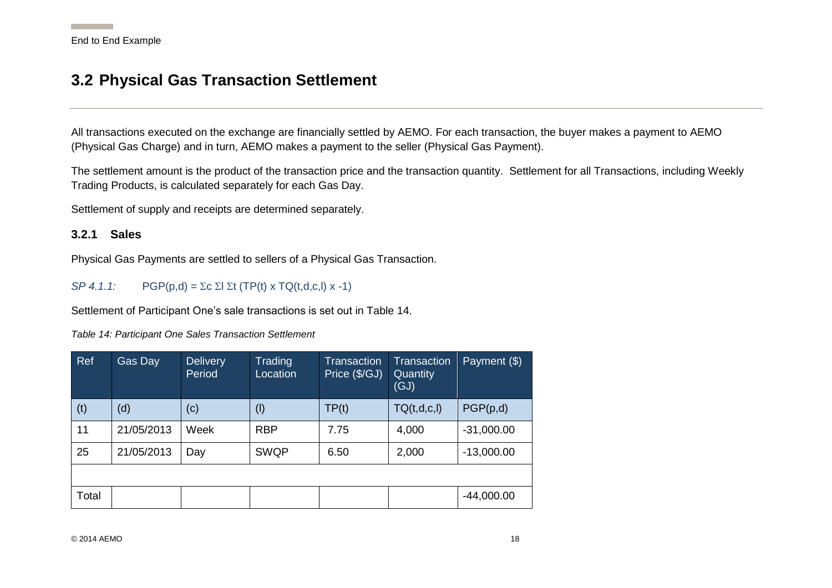## **3.2 Physical Gas Transaction Settlement**

All transactions executed on the exchange are financially settled by AEMO. For each transaction, the buyer makes a payment to AEMO (Physical Gas Charge) and in turn, AEMO makes a payment to the seller (Physical Gas Payment).

The settlement amount is the product of the transaction price and the transaction quantity. Settlement for all Transactions, including Weekly Trading Products, is calculated separately for each Gas Day.

Settlement of supply and receipts are determined separately.

#### **3.2.1 Sales**

Physical Gas Payments are settled to sellers of a Physical Gas Transaction.

*SP 4.1.1:*  $PGP(p,d) = \sum c \sum l \sum t (TP(t) \times TQ(t,d,c,l) \times -1)$ 

<span id="page-18-0"></span>Settlement of Participant One's sale transactions is set out in [Table 14.](#page-18-3)

<span id="page-18-3"></span>*Table 14: Participant One Sales Transaction Settlement*

<span id="page-18-2"></span><span id="page-18-1"></span>

| Ref   | Gas Day    | <b>Delivery</b><br>Period | Trading<br>Location | <b>Transaction</b><br>Price (\$/GJ) | <b>Transaction</b><br>Quantity<br>(GJ) | Payment $(\$)$ |
|-------|------------|---------------------------|---------------------|-------------------------------------|----------------------------------------|----------------|
| (t)   | (d)        | (c)                       | $($ l $)$           | TP(t)                               | TQ(t,d,c,l)                            | PGP(p,d)       |
| 11    | 21/05/2013 | Week                      | <b>RBP</b>          | 7.75                                | 4,000                                  | $-31,000.00$   |
| 25    | 21/05/2013 | Day                       | <b>SWQP</b>         | 6.50                                | 2,000                                  | $-13,000.00$   |
|       |            |                           |                     |                                     |                                        |                |
| Total |            |                           |                     |                                     |                                        | $-44,000.00$   |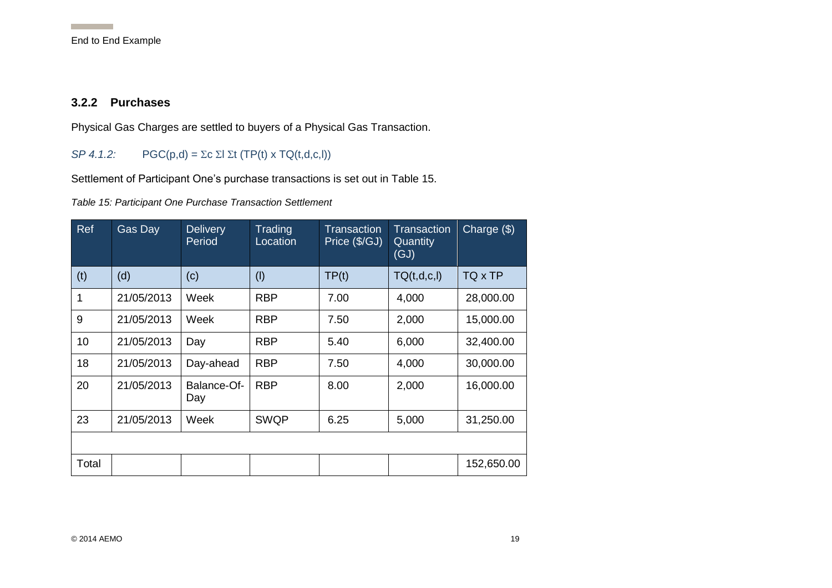#### **3.2.2 Purchases**

Physical Gas Charges are settled to buyers of a Physical Gas Transaction.

#### *SP 4.1.2:*  $PGC(p,d) = \sum c \sum l \sum t (TP(t) \times TQ(t,d,c,l))$

Settlement of Participant One's purchase transactions is set out in [Table 15.](#page-19-2)

<span id="page-19-2"></span>*Table 15: Participant One Purchase Transaction Settlement*

<span id="page-19-1"></span><span id="page-19-0"></span>

| Ref          | Gas Day    | <b>Delivery</b><br>Period | Trading<br>Location | Transaction<br>Price (\$/GJ) | <b>Transaction</b><br><b>Quantity</b><br>(GJ) | Charge (\$) |
|--------------|------------|---------------------------|---------------------|------------------------------|-----------------------------------------------|-------------|
| (t)          | (d)        | (c)                       | (1)                 | TP(t)                        | TQ(t,d,c,l)                                   | TQ x TP     |
| $\mathbf{1}$ | 21/05/2013 | Week                      | <b>RBP</b>          | 7.00                         | 4,000                                         | 28,000.00   |
| 9            | 21/05/2013 | Week                      | <b>RBP</b>          | 7.50                         | 2,000                                         | 15,000.00   |
| 10           | 21/05/2013 | Day                       | <b>RBP</b>          | 5.40                         | 6,000                                         | 32,400.00   |
| 18           | 21/05/2013 | Day-ahead                 | <b>RBP</b>          | 7.50                         | 4,000                                         | 30,000.00   |
| 20           | 21/05/2013 | Balance-Of-<br>Day        | <b>RBP</b>          | 8.00                         | 2,000                                         | 16,000.00   |
| 23           | 21/05/2013 | Week                      | <b>SWQP</b>         | 6.25                         | 5,000                                         | 31,250.00   |
|              |            |                           |                     |                              |                                               |             |
| Total        |            |                           |                     |                              |                                               | 152,650.00  |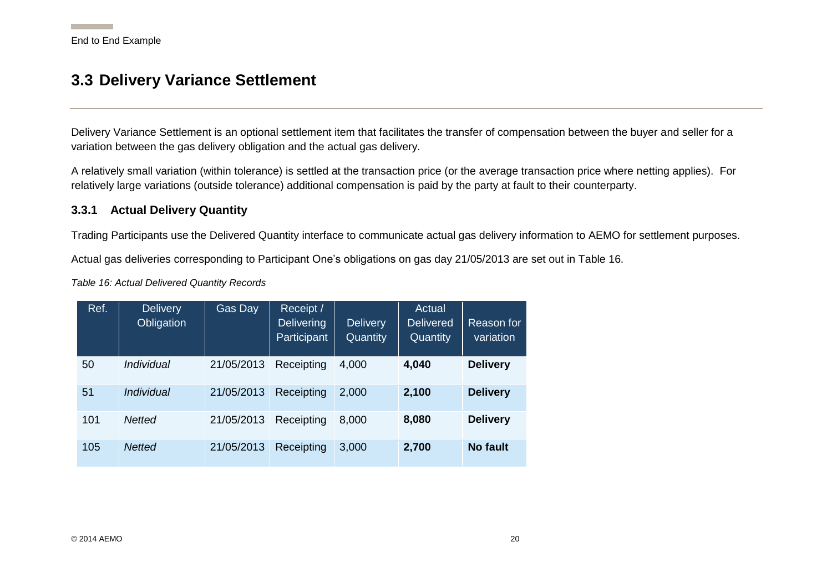### **3.3 Delivery Variance Settlement**

Delivery Variance Settlement is an optional settlement item that facilitates the transfer of compensation between the buyer and seller for a variation between the gas delivery obligation and the actual gas delivery.

A relatively small variation (within tolerance) is settled at the transaction price (or the average transaction price where netting applies). For relatively large variations (outside tolerance) additional compensation is paid by the party at fault to their counterparty.

#### <span id="page-20-4"></span>**3.3.1 Actual Delivery Quantity**

Trading Participants use the Delivered Quantity interface to communicate actual gas delivery information to AEMO for settlement purposes.

Actual gas deliveries corresponding to Participant One's obligations on gas day 21/05/2013 are set out in [Table 16.](#page-20-3)

<span id="page-20-3"></span>*Table 16: Actual Delivered Quantity Records*

<span id="page-20-2"></span><span id="page-20-1"></span><span id="page-20-0"></span>

| Ref. | <b>Delivery</b><br>Obligation | Gas Day    | Receipt /<br><b>Delivering</b><br>Participant | <b>Delivery</b><br>Quantity | Actual<br><b>Delivered</b><br>Quantity | Reason for<br>variation |
|------|-------------------------------|------------|-----------------------------------------------|-----------------------------|----------------------------------------|-------------------------|
| 50   | <i><b>Individual</b></i>      | 21/05/2013 | Receipting                                    | 4,000                       | 4,040                                  | <b>Delivery</b>         |
| 51   | <i><b>Individual</b></i>      | 21/05/2013 | Receipting                                    | 2,000                       | 2,100                                  | <b>Delivery</b>         |
| 101  | Netted                        | 21/05/2013 | Receipting                                    | 8,000                       | 8,080                                  | <b>Delivery</b>         |
| 105  | <b>Netted</b>                 | 21/05/2013 | Receipting                                    | 3,000                       | 2,700                                  | <b>No fault</b>         |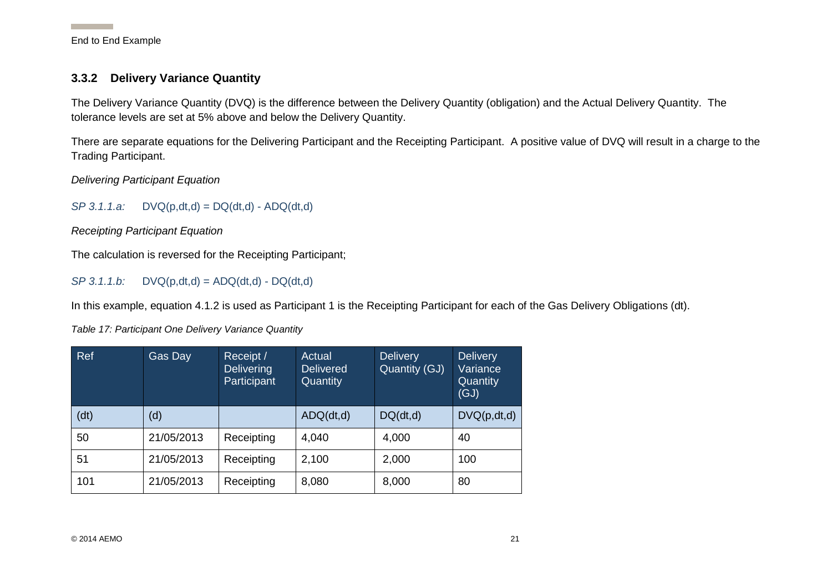#### **3.3.2 Delivery Variance Quantity**

The Delivery Variance Quantity (DVQ) is the difference between the Delivery Quantity (obligation) and the Actual Delivery Quantity. The tolerance levels are set at 5% above and below the Delivery Quantity.

There are separate equations for the Delivering Participant and the Receipting Participant. A positive value of DVQ will result in a charge to the Trading Participant.

*Delivering Participant Equation*

*SP 3.1.1.a:* DVQ(p,dt,d) = DQ(dt,d) - ADQ(dt,d)

*Receipting Participant Equation*

The calculation is reversed for the Receipting Participant;

 $SP 3.1.1.b: \quad DVO(p,dt,d) = ADQ(dt,d) - DQ(dt,d)$ 

In this example, equation 4.1.2 is used as Participant 1 is the Receipting Participant for each of the Gas Delivery Obligations (dt).

<span id="page-21-0"></span>*Table 17: Participant One Delivery Variance Quantity*

<span id="page-21-3"></span><span id="page-21-2"></span><span id="page-21-1"></span>

| Ref  | Gas Day    | Receipt /<br><b>Delivering</b><br>Participant | Actual<br><b>Delivered</b><br>Quantity | Delivery<br>Quantity (GJ) | <b>Delivery</b><br>Variance<br>Quantity<br>(GJ) |
|------|------------|-----------------------------------------------|----------------------------------------|---------------------------|-------------------------------------------------|
| (dt) | (d)        |                                               | ADQ(dt,d)                              | DQ(dt,d)                  | DVQ(p,dt,d)                                     |
| 50   | 21/05/2013 | Receipting                                    | 4,040                                  | 4,000                     | 40                                              |
| 51   | 21/05/2013 | Receipting                                    | 2,100                                  | 2,000                     | 100                                             |
| 101  | 21/05/2013 | Receipting                                    | 8,080                                  | 8,000                     | 80                                              |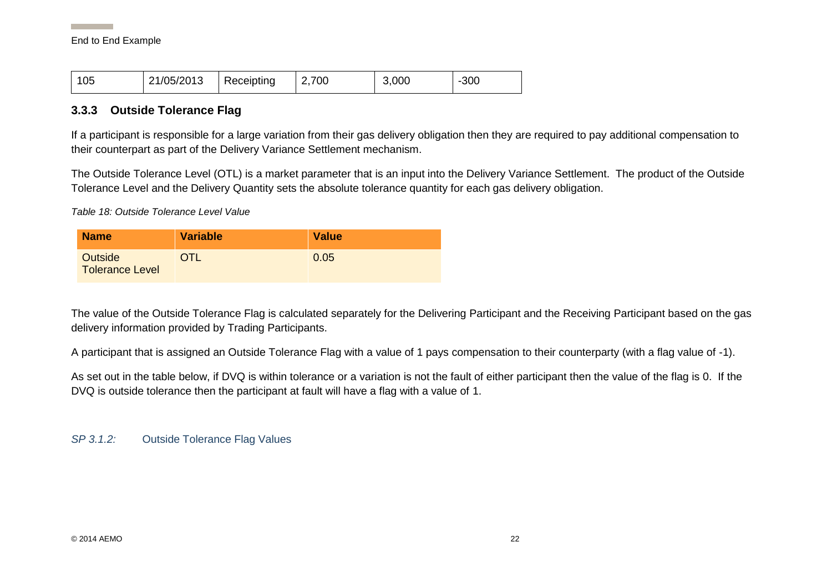#### **3.3.3 Outside Tolerance Flag**

If a participant is responsible for a large variation from their gas delivery obligation then they are required to pay additional compensation to their counterpart as part of the Delivery Variance Settlement mechanism.

The Outside Tolerance Level (OTL) is a market parameter that is an input into the Delivery Variance Settlement. The product of the Outside Tolerance Level and the Delivery Quantity sets the absolute tolerance quantity for each gas delivery obligation.

*Table 18: Outside Tolerance Level Value*

| <b>Name</b>                              | <b>Variable</b> | <b>Value</b> |
|------------------------------------------|-----------------|--------------|
| <b>Outside</b><br><b>Tolerance Level</b> | OTL             | 0.05         |

The value of the Outside Tolerance Flag is calculated separately for the Delivering Participant and the Receiving Participant based on the gas delivery information provided by Trading Participants.

<span id="page-22-0"></span>A participant that is assigned an Outside Tolerance Flag with a value of 1 pays compensation to their counterparty (with a flag value of -1).

As set out in the table below, if DVQ is within tolerance or a variation is not the fault of either participant then the value of the flag is 0. If the DVQ is outside tolerance then the participant at fault will have a flag with a value of 1.

<span id="page-22-1"></span>*SP 3.1.2:* Outside Tolerance Flag Values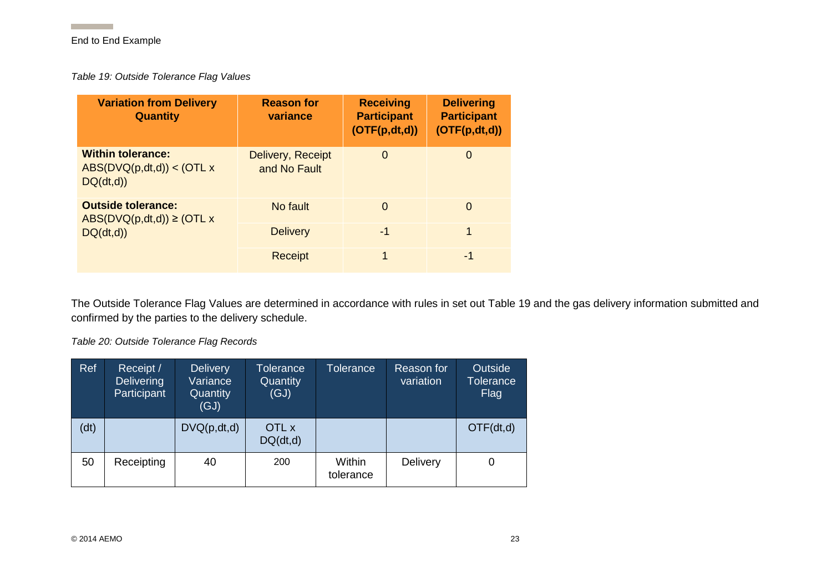**Contract Contract** 

<span id="page-23-2"></span>*Table 19: Outside Tolerance Flag Values*

| <b>Variation from Delivery</b><br><b>Quantity</b>                  | <b>Reason for</b><br>variance     | <b>Receiving</b><br><b>Participant</b><br>(OFF(p,dt,d)) | <b>Delivering</b><br><b>Participant</b><br>(OFF(p,dt,d)) |
|--------------------------------------------------------------------|-----------------------------------|---------------------------------------------------------|----------------------------------------------------------|
| <b>Within tolerance:</b><br>ABS(DVQ(p,dt,d)) < (OTL x)<br>DQ(dt,d) | Delivery, Receipt<br>and No Fault | $\Omega$                                                | 0                                                        |
| <b>Outside tolerance:</b><br>$ABS(DVQ(p,dt,d)) \geq (OTL x)$       | No fault                          | 0                                                       | $\Omega$                                                 |
| DQ(dt,d)                                                           | <b>Delivery</b>                   | $-1$                                                    | 1                                                        |
|                                                                    | <b>Receipt</b>                    | 1                                                       | -1                                                       |

<span id="page-23-0"></span>The Outside Tolerance Flag Values are determined in accordance with rules in set out [Table 19](#page-23-2) and the gas delivery information submitted and confirmed by the parties to the delivery schedule.

*Table 20: Outside Tolerance Flag Records*

<span id="page-23-1"></span>

| Ref  | Receipt /<br><b>Delivering</b><br>Participant | <b>Delivery</b><br>Variance<br>Quantity<br>(GJ) | Tolerance<br>Quantity<br>(GJ) | <b>Tolerance</b>    | Reason for<br>variation | Outside<br><b>Tolerance</b><br>Flag |
|------|-----------------------------------------------|-------------------------------------------------|-------------------------------|---------------------|-------------------------|-------------------------------------|
| (dt) |                                               | DVQ(p, dt, d)                                   | OTL x<br>DQ(dt,d)             |                     |                         | OTF(dt,d)                           |
| 50   | Receipting                                    | 40                                              | 200                           | Within<br>tolerance | <b>Delivery</b>         | O                                   |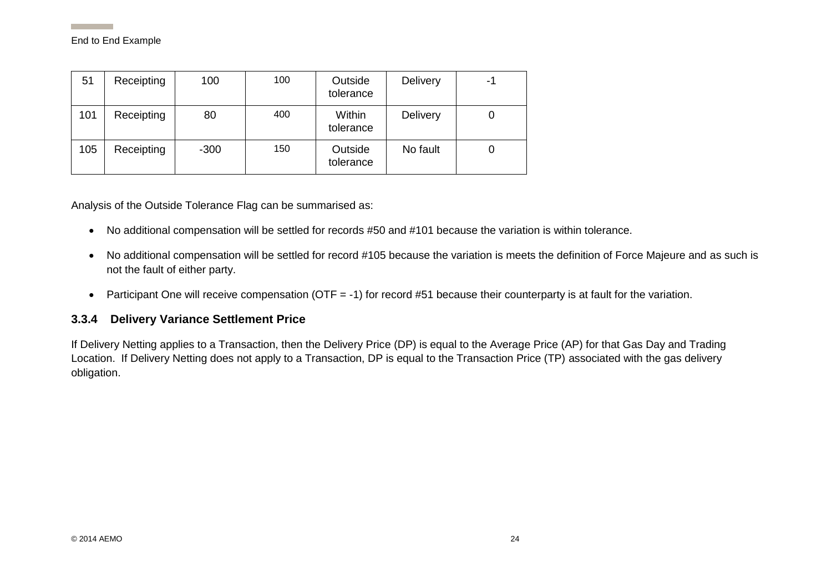| 51  | Receipting | 100    | 100 | Outside<br>tolerance | <b>Delivery</b> | -1 |
|-----|------------|--------|-----|----------------------|-----------------|----|
| 101 | Receipting | 80     | 400 | Within<br>tolerance  | <b>Delivery</b> | 0  |
| 105 | Receipting | $-300$ | 150 | Outside<br>tolerance | No fault        | 0  |

Analysis of the Outside Tolerance Flag can be summarised as:

- No additional compensation will be settled for records #50 and #101 because the variation is within tolerance.
- No additional compensation will be settled for record #105 because the variation is meets the definition of Force Majeure and as such is not the fault of either party.
- Participant One will receive compensation (OTF = -1) for record #51 because their counterparty is at fault for the variation.

#### <span id="page-24-1"></span>**3.3.4 Delivery Variance Settlement Price**

<span id="page-24-0"></span>If Delivery Netting applies to a Transaction, then the Delivery Price (DP) is equal to the Average Price (AP) for that Gas Day and Trading Location. If Delivery Netting does not apply to a Transaction, DP is equal to the Transaction Price (TP) associated with the gas delivery obligation.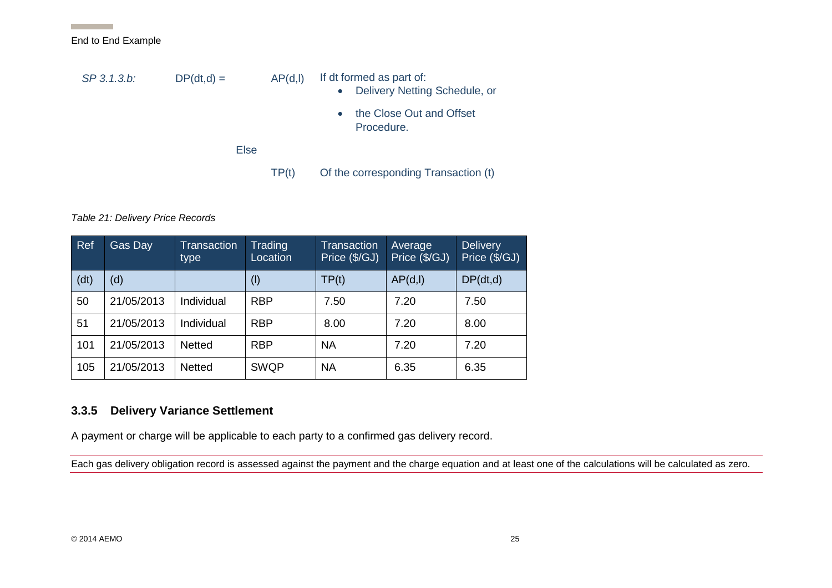| SP 3.1.3.b: | $DP(dt,d) =$ | AP(d, I) | If dt formed as part of:<br>Delivery Netting Schedule, or<br>$\bullet$<br>the Close Out and Offset<br>$\bullet$<br>Procedure. |
|-------------|--------------|----------|-------------------------------------------------------------------------------------------------------------------------------|
|             | Else         |          |                                                                                                                               |
|             |              | TP(t)    | Of the corresponding Transaction (t)                                                                                          |

#### *Table 21: Delivery Price Records*

End to End Example

| Ref  | Gas Day    | Transaction<br>type | Trading<br>Location | <b>Transaction</b><br>Price (\$/GJ) | Average<br>Price (\$/GJ) | Delivery<br>Price (\$/GJ) |
|------|------------|---------------------|---------------------|-------------------------------------|--------------------------|---------------------------|
| (dt) | (d)        |                     | $($ l $)$           | TP(t)                               | AP(d, I)                 | DP(dt, d)                 |
| 50   | 21/05/2013 | Individual          | <b>RBP</b>          | 7.50                                | 7.20                     | 7.50                      |
| 51   | 21/05/2013 | Individual          | <b>RBP</b>          | 8.00                                | 7.20                     | 8.00                      |
| 101  | 21/05/2013 | Netted              | <b>RBP</b>          | <b>NA</b>                           | 7.20                     | 7.20                      |
| 105  | 21/05/2013 | Netted              | <b>SWQP</b>         | <b>NA</b>                           | 6.35                     | 6.35                      |

#### **3.3.5 Delivery Variance Settlement**

A payment or charge will be applicable to each party to a confirmed gas delivery record.

<span id="page-25-1"></span><span id="page-25-0"></span>Each gas delivery obligation record is assessed against the payment and the charge equation and at least one of the calculations will be calculated as zero.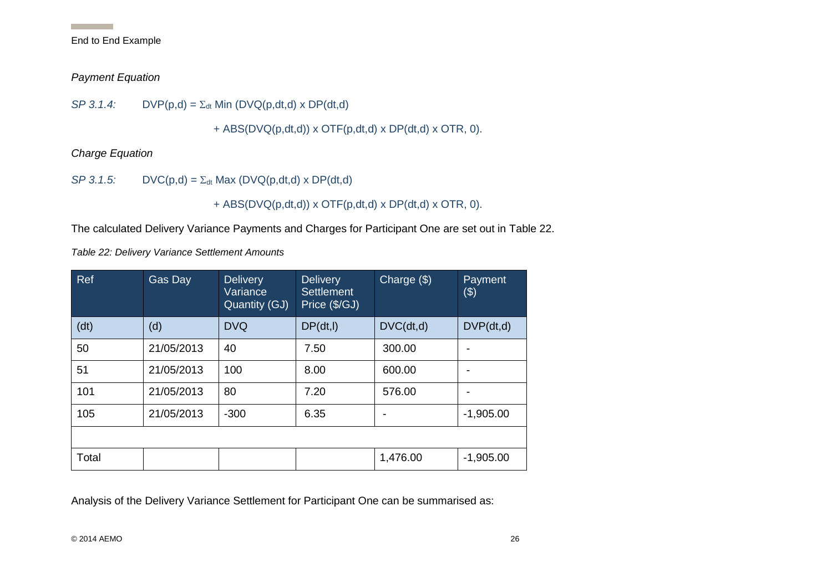#### *Payment Equation*

*SP 3.1.4:*  $DVP(p,d) = \sum_{dt} Min (DVO(p,dt,d) \times DP(dt,d)$ 

+ ABS(DVQ(p,dt,d)) x OTF(p,dt,d) x DP(dt,d) x OTR, 0).

*Charge Equation*

*SP 3.1.5:*  $DVC(p,d) = \sum_{dt} Max (DVQ(p,dt,d) \times DP(dt,d)$ 

+ ABS( $D\vee Q(p,dt,d)$ ) x OTF( $p,dt,d$ ) x DP( $dt,d$ ) x OTR, 0).

The calculated Delivery Variance Payments and Charges for Participant One are set out in [Table 22.](#page-26-2)

<span id="page-26-2"></span>*Table 22: Delivery Variance Settlement Amounts*

<span id="page-26-0"></span>

| Ref   | Gas Day    | <b>Delivery</b><br>Variance<br>Quantity (GJ) | <b>Delivery</b><br>Settlement<br>Price (\$/GJ) | Charge $(\$)$ | Payment<br>$(\$)$ |
|-------|------------|----------------------------------------------|------------------------------------------------|---------------|-------------------|
| (dt)  | (d)        | <b>DVQ</b>                                   | DP(dt, I)                                      | DVC(dt,d)     | DVP(dt,d)         |
| 50    | 21/05/2013 | 40                                           | 7.50                                           | 300.00        |                   |
| 51    | 21/05/2013 | 100                                          | 8.00                                           | 600.00        |                   |
| 101   | 21/05/2013 | 80                                           | 7.20                                           | 576.00        |                   |
| 105   | 21/05/2013 | $-300$                                       | 6.35                                           |               | $-1,905.00$       |
|       |            |                                              |                                                |               |                   |
| Total |            |                                              |                                                | 1,476.00      | $-1,905.00$       |

<span id="page-26-1"></span>Analysis of the Delivery Variance Settlement for Participant One can be summarised as:

 $@ 2014$  AEMO  $26$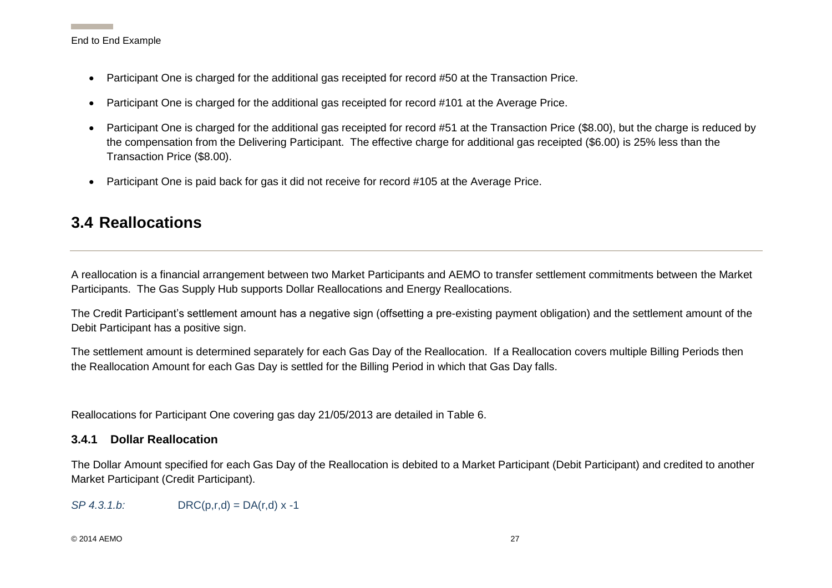- Participant One is charged for the additional gas receipted for record #50 at the Transaction Price.
- Participant One is charged for the additional gas receipted for record #101 at the Average Price.
- Participant One is charged for the additional gas receipted for record #51 at the Transaction Price (\$8.00), but the charge is reduced by the compensation from the Delivering Participant. The effective charge for additional gas receipted (\$6.00) is 25% less than the Transaction Price (\$8.00).
- Participant One is paid back for gas it did not receive for record #105 at the Average Price.

## **3.4 Reallocations**

A reallocation is a financial arrangement between two Market Participants and AEMO to transfer settlement commitments between the Market Participants. The Gas Supply Hub supports Dollar Reallocations and Energy Reallocations.

The Credit Participant's settlement amount has a negative sign (offsetting a pre-existing payment obligation) and the settlement amount of the Debit Participant has a positive sign.

The settlement amount is determined separately for each Gas Day of the Reallocation. If a Reallocation covers multiple Billing Periods then the Reallocation Amount for each Gas Day is settled for the Billing Period in which that Gas Day falls.

Reallocations for Participant One covering gas day 21/05/2013 are detailed in [Table 6.](#page-9-6)

#### <span id="page-27-0"></span>**3.4.1 Dollar Reallocation**

The Dollar Amount specified for each Gas Day of the Reallocation is debited to a Market Participant (Debit Participant) and credited to another Market Participant (Credit Participant).

*SP 4.3.1.b:* DRC(p,r,d) = DA(r,d) x -1

#### <span id="page-27-1"></span>© 2014 AEMO 27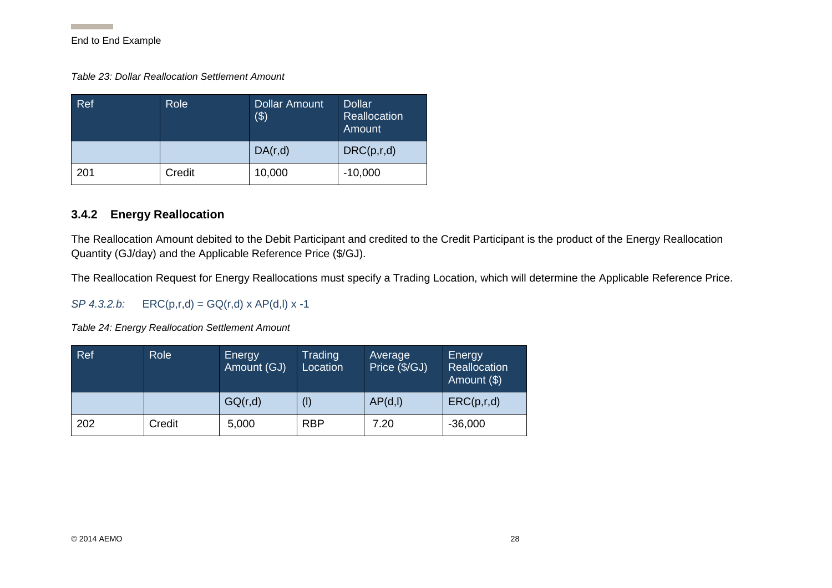*Table 23: Dollar Reallocation Settlement Amount*

| Ref | Role   | Dollar Amount<br>\$) | <b>Dollar</b><br>Reallocation<br>Amount |
|-----|--------|----------------------|-----------------------------------------|
|     |        | DA(r,d)              | DRC(p,r,d)                              |
| 201 | Credit | 10,000               | $-10,000$                               |

#### <span id="page-28-3"></span>**3.4.2 Energy Reallocation**

The Reallocation Amount debited to the Debit Participant and credited to the Credit Participant is the product of the Energy Reallocation Quantity (GJ/day) and the Applicable Reference Price (\$/GJ).

The Reallocation Request for Energy Reallocations must specify a Trading Location, which will determine the Applicable Reference Price.

*SP 4.3.2.b:*  $ERC(p,r,d) = GQ(r,d) \times AP(d,l) \times -1$ 

<span id="page-28-1"></span>*Table 24: Energy Reallocation Settlement Amount*

<span id="page-28-2"></span><span id="page-28-0"></span>

| Ref | <b>Role</b> | Energy<br>Amount (GJ) | Trading<br>Location | Average<br>Price (\$/GJ) | Energy<br>Reallocation<br>Amount (\$) |
|-----|-------------|-----------------------|---------------------|--------------------------|---------------------------------------|
|     |             | GQ(r,d)               | $($ l $)$           | AP(d, I)                 | ERC(p,r,d)                            |
| 202 | Credit      | 5,000                 | <b>RBP</b>          | 7.20                     | $-36,000$                             |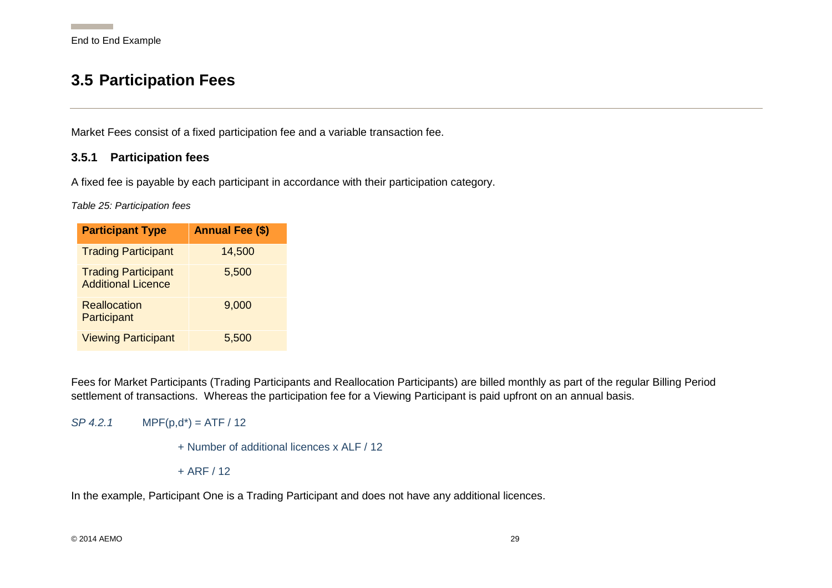## **3.5 Participation Fees**

Market Fees consist of a fixed participation fee and a variable transaction fee.

#### **3.5.1 Participation fees**

A fixed fee is payable by each participant in accordance with their participation category.

*Table 25: Participation fees*

| <b>Participant Type</b>                                 | <b>Annual Fee (\$)</b> |
|---------------------------------------------------------|------------------------|
| <b>Trading Participant</b>                              | 14,500                 |
| <b>Trading Participant</b><br><b>Additional Licence</b> | 5,500                  |
| Reallocation<br>Participant                             | 9,000                  |
| <b>Viewing Participant</b>                              | 5,500                  |

<span id="page-29-1"></span><span id="page-29-0"></span>Fees for Market Participants (Trading Participants and Reallocation Participants) are billed monthly as part of the regular Billing Period settlement of transactions. Whereas the participation fee for a Viewing Participant is paid upfront on an annual basis.

<span id="page-29-2"></span> $SP 4.2.1$  MPF( $p, d^*$ ) = ATF / 12

```
+ Number of additional licences x ALF / 12
```
 $+$  ARF / 12

In the example, Participant One is a Trading Participant and does not have any additional licences.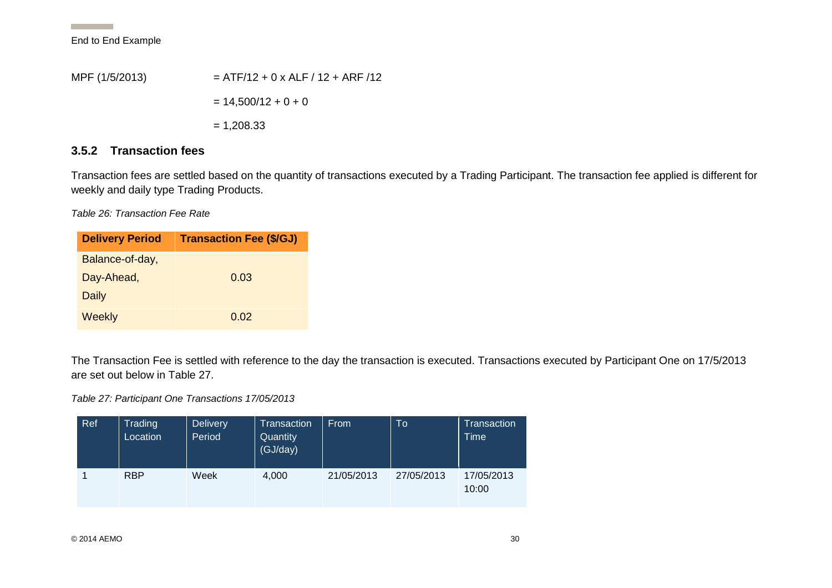**Contract Contract** 

MPF (1/5/2013)  $=$  ATF/12 + 0 x ALF / 12 + ARF /12  $= 14,500/12 + 0 + 0$  $= 1,208.33$ 

#### **3.5.2 Transaction fees**

Transaction fees are settled based on the quantity of transactions executed by a Trading Participant. The transaction fee applied is different for weekly and daily type Trading Products.

*Table 26: Transaction Fee Rate*

| <b>Delivery Period</b> | <b>Transaction Fee (\$/GJ)</b> |
|------------------------|--------------------------------|
| Balance-of-day,        |                                |
| Day-Ahead,             | 0.03                           |
| Daily                  |                                |
| Weekly                 | 0.02                           |

The Transaction Fee is settled with reference to the day the transaction is executed. Transactions executed by Participant One on 17/5/2013 are set out below in [Table 27.](#page-30-3)

<span id="page-30-3"></span><span id="page-30-0"></span>*Table 27: Participant One Transactions 17/05/2013* 

<span id="page-30-2"></span><span id="page-30-1"></span>

| Ref | Trading<br>Location | <b>Delivery</b><br>Period | Transaction<br>Quantity<br>(GJ/day) | From       | To         | Transaction<br><b>Time</b> |
|-----|---------------------|---------------------------|-------------------------------------|------------|------------|----------------------------|
|     | <b>RBP</b>          | Week                      | 4,000                               | 21/05/2013 | 27/05/2013 | 17/05/2013<br>10:00        |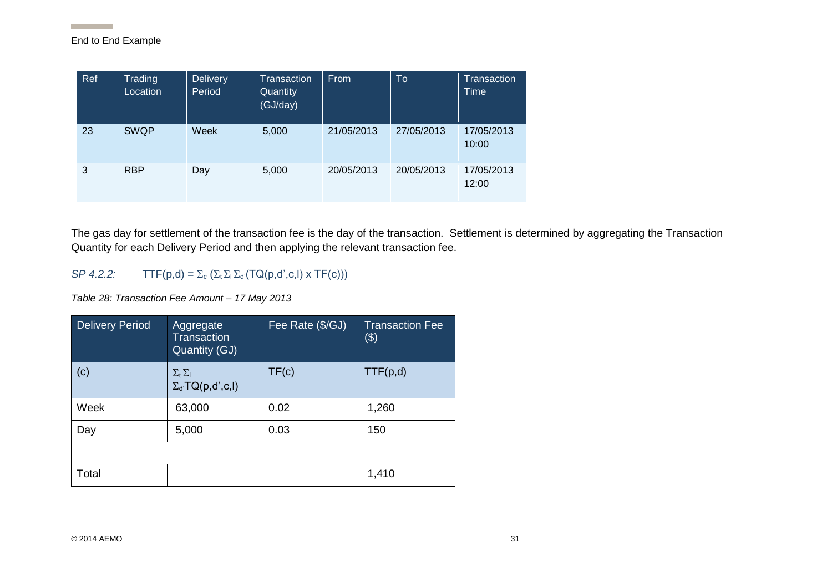**Contract Contract** 

| <b>Ref</b> | Trading<br>Location | <b>Delivery</b><br>Period | <b>Transaction</b><br>Quantity<br>(GJ/day) | From       | To         | Transaction<br>Time |
|------------|---------------------|---------------------------|--------------------------------------------|------------|------------|---------------------|
| 23         | <b>SWQP</b>         | Week                      | 5,000                                      | 21/05/2013 | 27/05/2013 | 17/05/2013<br>10:00 |
| 3          | <b>RBP</b>          | Day                       | 5,000                                      | 20/05/2013 | 20/05/2013 | 17/05/2013<br>12:00 |

The gas day for settlement of the transaction fee is the day of the transaction. Settlement is determined by aggregating the Transaction Quantity for each Delivery Period and then applying the relevant transaction fee.

#### *SP 4.2.2:*  $TTF(p,d) = \sum_c (\sum_t \sum_l \sum_{d'} (TQ(p,d',c,l) \times TF(c)))$

*Table 28: Transaction Fee Amount – 17 May 2013*

<span id="page-31-0"></span>

| <b>Delivery Period</b> | Aggregate<br><b>Transaction</b><br>Quantity (GJ)            | Fee Rate (\$/GJ) | <b>Transaction Fee</b><br>$(\$)$ |
|------------------------|-------------------------------------------------------------|------------------|----------------------------------|
| (c)                    | $\Sigma_{\rm t}\Sigma_{\rm I}$<br>$\Sigma_{d'}TQ(p,d',c,l)$ | TF(c)            | TTF(p,d)                         |
| Week                   | 63,000                                                      | 0.02             | 1,260                            |
| Day                    | 5,000                                                       | 0.03             | 150                              |
|                        |                                                             |                  |                                  |
| Total                  |                                                             |                  | 1,410                            |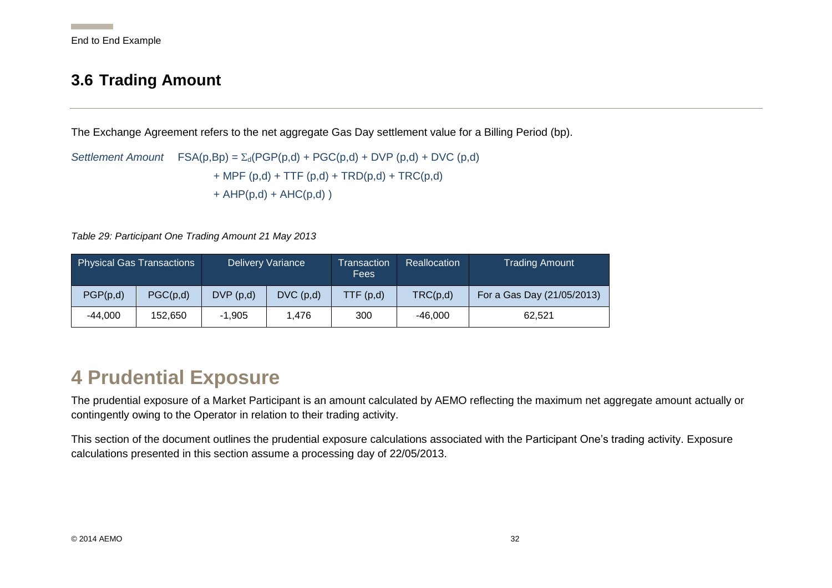## <span id="page-32-3"></span>**3.6 Trading Amount**

The Exchange Agreement refers to the net aggregate Gas Day settlement value for a Billing Period (bp).

*Settlement Amount*  $FSA(p,Bp) = \sum_{d}(PGP(p,d) + PGC(p,d) + DVP(p,d) + DVC(p,d)$ + MPF (p,d) + TTF (p,d) + TRD(p,d) + TRC(p,d)  $+$  AHP(p,d) + AHC(p,d))

*Table 29: Participant One Trading Amount 21 May 2013*

| <b>Physical Gas Transactions</b><br>Delivery Variance |          |          | Transaction<br>Fees | <b>Reallocation</b> | <b>Trading Amount</b> |                            |
|-------------------------------------------------------|----------|----------|---------------------|---------------------|-----------------------|----------------------------|
| PGP(p,d)                                              | PGC(p,d) | DVP(p,d) | DVC(p,d)            | TTF(p,d)            | TRC(p,d)              | For a Gas Day (21/05/2013) |
| $-44.000$                                             | 152.650  | $-1.905$ | 1.476               | 300                 | $-46,000$             | 62.521                     |

## <span id="page-32-0"></span>**4 Prudential Exposure**

The prudential exposure of a Market Participant is an amount calculated by AEMO reflecting the maximum net aggregate amount actually or contingently owing to the Operator in relation to their trading activity.

<span id="page-32-2"></span><span id="page-32-1"></span>This section of the document outlines the prudential exposure calculations associated with the Participant One's trading activity. Exposure calculations presented in this section assume a processing day of 22/05/2013.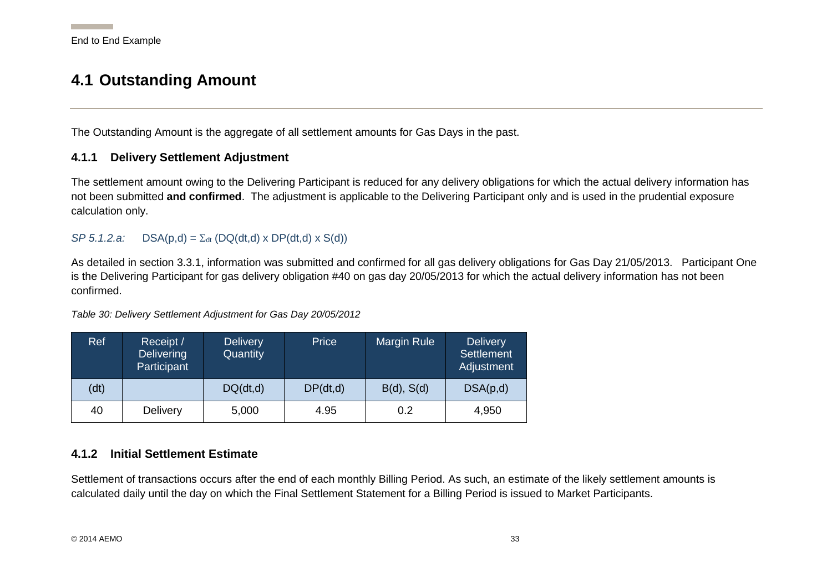## **4.1 Outstanding Amount**

The Outstanding Amount is the aggregate of all settlement amounts for Gas Days in the past.

#### **4.1.1 Delivery Settlement Adjustment**

The settlement amount owing to the Delivering Participant is reduced for any delivery obligations for which the actual delivery information has not been submitted **and confirmed**. The adjustment is applicable to the Delivering Participant only and is used in the prudential exposure calculation only.

#### $SP 5.1.2.a:$  DSA(p,d) =  $\Sigma_{\text{dt}}$  (DQ(dt,d) x DP(dt,d) x S(d))

As detailed in section [3.3.1,](#page-20-4) information was submitted and confirmed for all gas delivery obligations for Gas Day 21/05/2013. Participant One is the Delivering Participant for gas delivery obligation #40 on gas day 20/05/2013 for which the actual delivery information has not been confirmed.

#### Ref Receipt / **Delivering Participant Delivery Quantity** Price Margin Rule Delivery **Settlement** Adjustment (dt)  $\bigcup Q(dt,d)$   $\bigcup P(dt,d)$   $\bigcup B(d), S(d)$   $\bigcup SA(p,d)$ 40 | Delivery | 5,000 | 4.95 | 0.2 | 4,950

#### <span id="page-33-0"></span>*Table 30: Delivery Settlement Adjustment for Gas Day 20/05/2012*

#### <span id="page-33-1"></span>**4.1.2 Initial Settlement Estimate**

<span id="page-33-3"></span><span id="page-33-2"></span>Settlement of transactions occurs after the end of each monthly Billing Period. As such, an estimate of the likely settlement amounts is calculated daily until the day on which the Final Settlement Statement for a Billing Period is issued to Market Participants.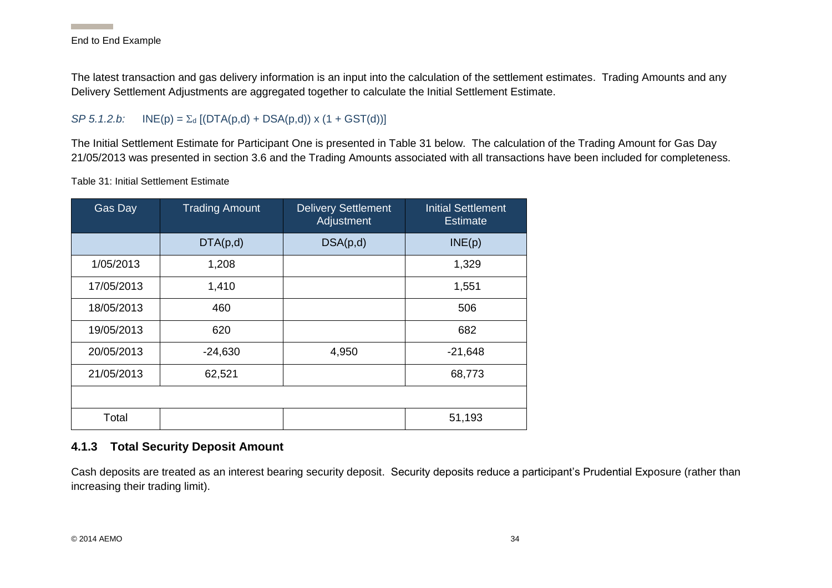The latest transaction and gas delivery information is an input into the calculation of the settlement estimates. Trading Amounts and any Delivery Settlement Adjustments are aggregated together to calculate the Initial Settlement Estimate.

#### *SP 5.1.2.b:*  $INE(p) = \sum_{d} [(DTA(p,d) + DSA(p,d)) \times (1 + GST(d))]$

The Initial Settlement Estimate for Participant One is presented in [Table 31](#page-34-2) below. The calculation of the Trading Amount for Gas Day 21/05/2013 was presented in section [3.6](#page-32-3) and the Trading Amounts associated with all transactions have been included for completeness.

<span id="page-34-2"></span>Table 31: Initial Settlement Estimate

| Gas Day    | <b>Trading Amount</b> | <b>Delivery Settlement</b><br>Adjustment | <b>Initial Settlement</b><br><b>Estimate</b> |
|------------|-----------------------|------------------------------------------|----------------------------------------------|
|            | DTA(p,d)              | DSA(p,d)                                 | INE(p)                                       |
| 1/05/2013  | 1,208                 |                                          | 1,329                                        |
| 17/05/2013 | 1,410                 |                                          | 1,551                                        |
| 18/05/2013 | 460                   |                                          | 506                                          |
| 19/05/2013 | 620                   |                                          | 682                                          |
| 20/05/2013 | $-24,630$             | 4,950                                    | $-21,648$                                    |
| 21/05/2013 | 62,521                |                                          | 68,773                                       |
|            |                       |                                          |                                              |
| Total      |                       |                                          | 51,193                                       |

#### <span id="page-34-1"></span>**4.1.3 Total Security Deposit Amount**

<span id="page-34-0"></span>Cash deposits are treated as an interest bearing security deposit. Security deposits reduce a participant's Prudential Exposure (rather than increasing their trading limit).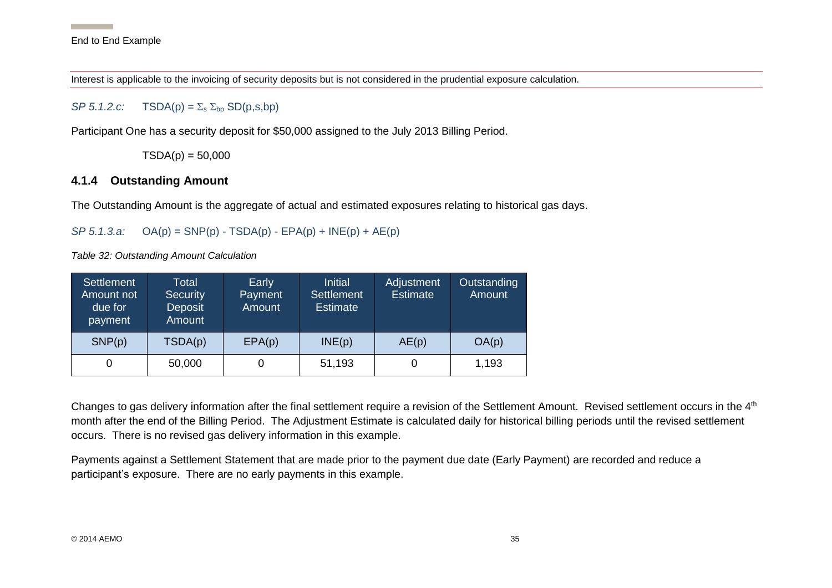Interest is applicable to the invoicing of security deposits but is not considered in the prudential exposure calculation.

#### *SP 5.1.2.c:*  $TSDA(p) = \sum_{s} \sum_{b} \sum_{s} \sum_{p} (p,s,bp)$

Participant One has a security deposit for \$50,000 assigned to the July 2013 Billing Period.

 $TSDA(p) = 50,000$ 

#### **4.1.4 Outstanding Amount**

The Outstanding Amount is the aggregate of actual and estimated exposures relating to historical gas days.

*SP 5.1.3.a:* OA(p) = SNP(p) - TSDA(p) - EPA(p) + INE(p) + AE(p)

*Table 32: Outstanding Amount Calculation*

| Settlement<br>Amount not<br>due for<br>payment | Total<br><b>Security</b><br>Deposit<br>Amount | Early<br>Payment<br>Amount | <b>Initial</b><br><b>Settlement</b><br><b>Estimate</b> | Adjustment<br><b>Estimate</b> | Outstanding<br>Amount |
|------------------------------------------------|-----------------------------------------------|----------------------------|--------------------------------------------------------|-------------------------------|-----------------------|
| SNP(p)                                         | TSDA(p)                                       | EPA(p)                     | INE(p)                                                 | AE(p)                         | OA(p)                 |
|                                                | 50,000                                        |                            | 51,193                                                 |                               | 1,193                 |

<span id="page-35-0"></span>Changes to gas delivery information after the final settlement require a revision of the Settlement Amount. Revised settlement occurs in the 4<sup>th</sup> month after the end of the Billing Period. The Adjustment Estimate is calculated daily for historical billing periods until the revised settlement occurs. There is no revised gas delivery information in this example.

<span id="page-35-1"></span>Payments against a Settlement Statement that are made prior to the payment due date (Early Payment) are recorded and reduce a participant's exposure. There are no early payments in this example.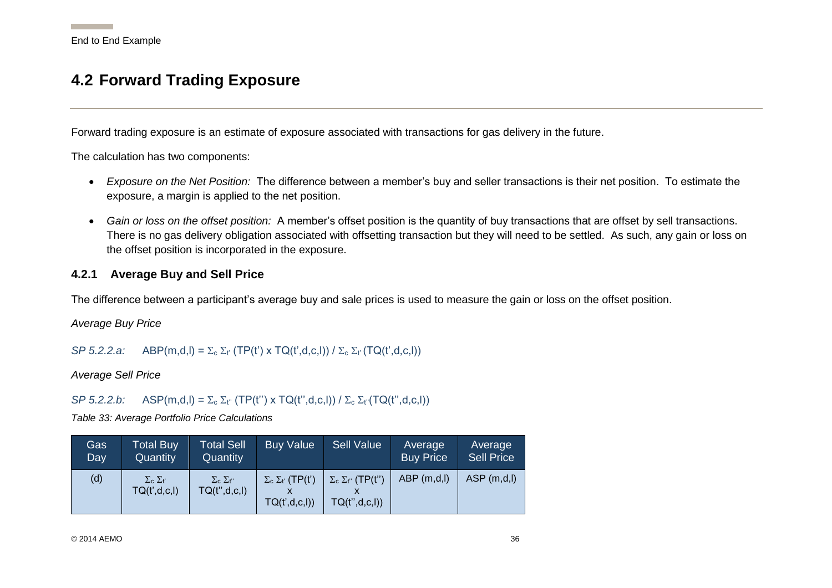## **4.2 Forward Trading Exposure**

Forward trading exposure is an estimate of exposure associated with transactions for gas delivery in the future.

The calculation has two components:

- *Exposure on the Net Position:* The difference between a member's buy and seller transactions is their net position. To estimate the exposure, a margin is applied to the net position.
- *Gain or loss on the offset position:* A member's offset position is the quantity of buy transactions that are offset by sell transactions. There is no gas delivery obligation associated with offsetting transaction but they will need to be settled. As such, any gain or loss on the offset position is incorporated in the exposure.

#### **4.2.1 Average Buy and Sell Price**

The difference between a participant's average buy and sale prices is used to measure the gain or loss on the offset position.

<span id="page-36-0"></span>*Average Buy Price*

#### *SP 5.2.2.a:* ABP(m,d,l) =  $\Sigma_c \Sigma_f$  (TP(t') x TQ(t',d,c,l)) /  $\Sigma_c \Sigma_f$  (TQ(t',d,c,l))

*Average Sell Price*

*SP 5.2.2.b:* ASP(m,d,l) =  $\Sigma_c \Sigma_{t''}$  (TP(t'') x TQ(t'',d,c,l)) /  $\Sigma_c \Sigma_{t''}$ (TQ(t'',d,c,l))

*Table 33: Average Portfolio Price Calculations*

<span id="page-36-2"></span><span id="page-36-1"></span>

| Gas i<br>Day | <b>Total Buy</b><br>Quantity          | <b>Total Sell</b><br>Quantity          | <b>Buy Value</b>                             | <b>Sell Value</b>                               | Average<br><b>Buy Price</b> | Average<br><b>Sell Price</b> |
|--------------|---------------------------------------|----------------------------------------|----------------------------------------------|-------------------------------------------------|-----------------------------|------------------------------|
| (d)          | $\Sigma_c \Sigma_{t}$<br>TQ(t',d,c,l) | $\Sigma_c \Sigma_{t}$<br>TQ(t'',d,c,l) | $\Sigma_c \Sigma_t$ (TP(t')<br>TQ(t',d,c,I)) | $\Sigma_c \Sigma_{t}$ (TP(t")<br>TQ(t'',d,c,l)) | ABP(m,d,l)                  | ASP(m,d,l)                   |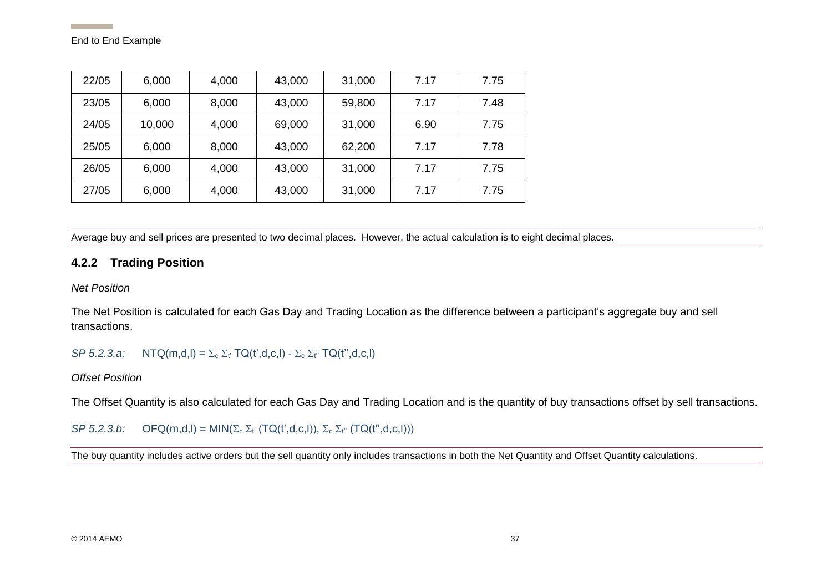| 22/05 | 6,000  | 4,000 | 43,000 | 31,000 | 7.17 | 7.75 |
|-------|--------|-------|--------|--------|------|------|
| 23/05 | 6,000  | 8,000 | 43,000 | 59,800 | 7.17 | 7.48 |
| 24/05 | 10,000 | 4,000 | 69,000 | 31,000 | 6.90 | 7.75 |
| 25/05 | 6,000  | 8,000 | 43,000 | 62,200 | 7.17 | 7.78 |
| 26/05 | 6,000  | 4,000 | 43,000 | 31,000 | 7.17 | 7.75 |
| 27/05 | 6,000  | 4,000 | 43,000 | 31,000 | 7.17 | 7.75 |

Average buy and sell prices are presented to two decimal places. However, the actual calculation is to eight decimal places.

#### **4.2.2 Trading Position**

*Net Position*

The Net Position is calculated for each Gas Day and Trading Location as the difference between a participant's aggregate buy and sell transactions.

*SP 5.2.3.a:*  $NTQ(m,d,l) = \sum_{c} \sum_{t'} TQ(t',d,c,l) - \sum_{c} \sum_{t'} TQ(t'',d,c,l)$ 

#### *Offset Position*

The Offset Quantity is also calculated for each Gas Day and Trading Location and is the quantity of buy transactions offset by sell transactions.

*SP 5.2.3.b:*  $OFQ(m,d, I) = MIN(\Sigma_c \Sigma_f (TQ(t',d,c,I)), \Sigma_c \Sigma_{t'} (TQ(t'',d,c,I)))$ 

<span id="page-37-0"></span>The buy quantity includes active orders but the sell quantity only includes transactions in both the Net Quantity and Offset Quantity calculations.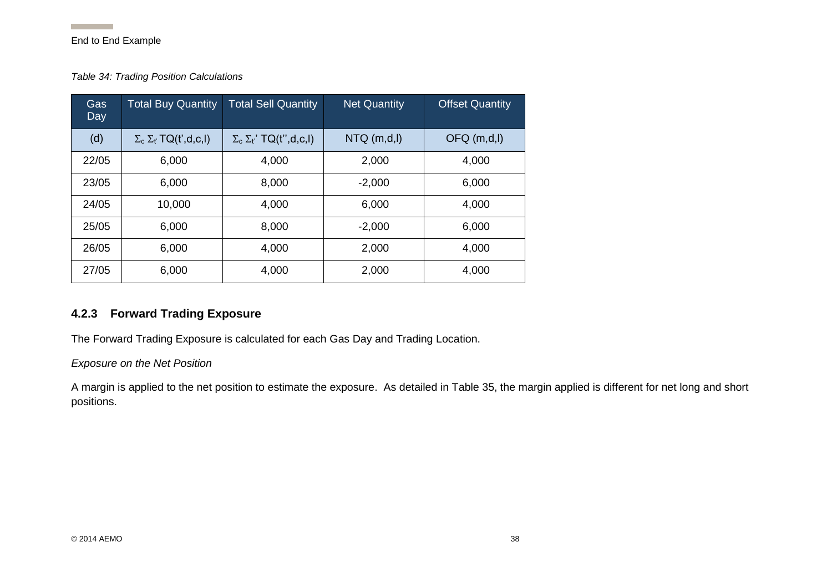#### *Table 34: Trading Position Calculations*

| Gas<br>Day | <b>Total Buy Quantity</b>        | <b>Total Sell Quantity</b>            | <b>Net Quantity</b> | <b>Offset Quantity</b> |
|------------|----------------------------------|---------------------------------------|---------------------|------------------------|
| (d)        | $\Sigma_c \Sigma_t$ TQ(t',d,c,l) | $\Sigma_c \Sigma_{t}$ ' TQ(t'',d,c,l) | NTQ(m,d,I)          | OFQ(m,d,I)             |
| 22/05      | 6,000                            | 4,000                                 | 2,000               | 4,000                  |
| 23/05      | 6,000                            | 8,000                                 | $-2,000$            | 6,000                  |
| 24/05      | 10,000                           | 4,000                                 | 6,000               | 4,000                  |
| 25/05      | 6,000                            | 8,000                                 | $-2,000$            | 6,000                  |
| 26/05      | 6,000                            | 4,000                                 | 2,000               | 4,000                  |
| 27/05      | 6,000                            | 4,000                                 | 2,000               | 4,000                  |

#### <span id="page-38-1"></span>**4.2.3 Forward Trading Exposure**

The Forward Trading Exposure is calculated for each Gas Day and Trading Location.

*Exposure on the Net Position*

<span id="page-38-0"></span>A margin is applied to the net position to estimate the exposure. As detailed in [Table 35,](#page-39-2) the margin applied is different for net long and short positions.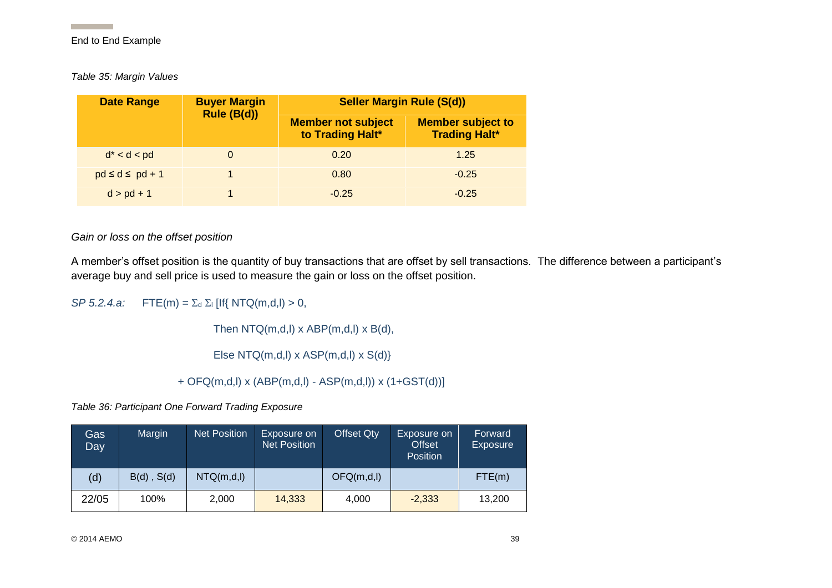<span id="page-39-2"></span>*Table 35: Margin Values*

| <b>Date Range</b>       | <b>Buyer Margin</b> | <b>Seller Margin Rule (S(d))</b>              |                                                  |  |  |
|-------------------------|---------------------|-----------------------------------------------|--------------------------------------------------|--|--|
|                         | Rule (B(d))         | <b>Member not subject</b><br>to Trading Halt* | <b>Member subject to</b><br><b>Trading Halt*</b> |  |  |
| $d^* < d < pd$          |                     | 0.20                                          | 1.25                                             |  |  |
| $pd \leq d \leq pd + 1$ |                     | 0.80                                          | $-0.25$                                          |  |  |
| $d > pd + 1$            |                     | $-0.25$                                       | $-0.25$                                          |  |  |

*Gain or loss on the offset position*

A member's offset position is the quantity of buy transactions that are offset by sell transactions. The difference between a participant's average buy and sell price is used to measure the gain or loss on the offset position.

<span id="page-39-0"></span>*SP 5.2.4.a:*  $FTE(m) = \sum_{d} \sum_{i} [If\{NTQ(m,d,i) > 0,$ 

Then NTQ(m,d,l) x ABP(m,d,l) x B(d),

Else NTQ(m,d,l) x ASP(m,d,l) x S(d)}

+ OFQ(m,d,l) x (ABP(m,d,l) - ASP(m,d,l)) x (1+GST(d))]

*Table 36: Participant One Forward Trading Exposure*

<span id="page-39-1"></span>

| Gas<br>Day | Margin          | <b>Net Position</b> | Exposure on<br><b>Net Position</b> | <b>Offset Qty</b> | Exposure on<br><b>Offset</b><br><b>Position</b> | Forward<br><b>Exposure</b> |
|------------|-----------------|---------------------|------------------------------------|-------------------|-------------------------------------------------|----------------------------|
| (d)        | $B(d)$ , $S(d)$ | NTQ(m,d,l)          |                                    | OFQ(m,d,I)        |                                                 | FTE(m)                     |
| 22/05      | 100%            | 2,000               | 14,333                             | 4,000             | $-2,333$                                        | 13,200                     |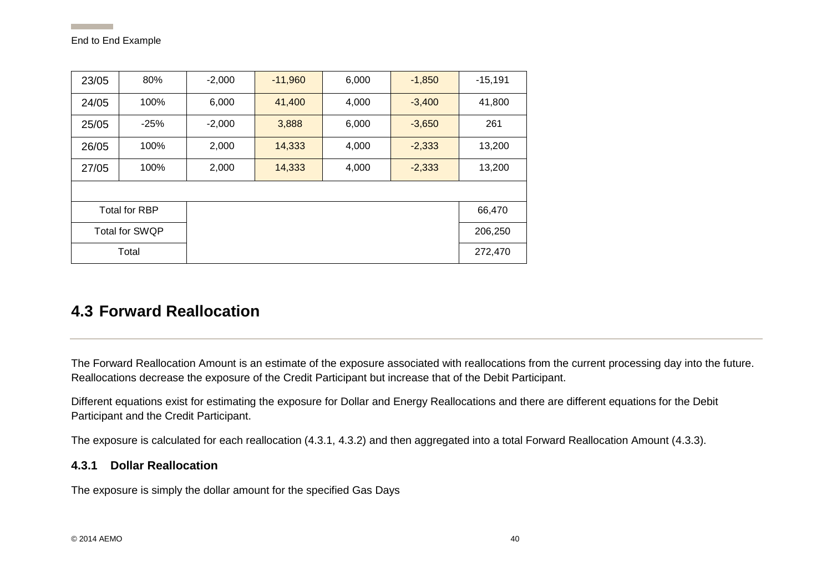| 23/05         | 80%                   | $-2,000$ | $-11,960$ | 6,000 | $-1,850$ | $-15,191$ |  |  |  |  |
|---------------|-----------------------|----------|-----------|-------|----------|-----------|--|--|--|--|
| 24/05         | 100%                  | 6,000    | 41,400    | 4,000 | $-3,400$ | 41,800    |  |  |  |  |
| 25/05         | $-25%$                | $-2,000$ | 3,888     | 6,000 | $-3,650$ | 261       |  |  |  |  |
| 26/05         | 100%                  | 2,000    | 14,333    | 4,000 | $-2,333$ | 13,200    |  |  |  |  |
| 100%<br>27/05 |                       | 2,000    | 14,333    | 4,000 | $-2,333$ | 13,200    |  |  |  |  |
|               |                       |          |           |       |          |           |  |  |  |  |
|               | <b>Total for RBP</b>  |          |           |       |          | 66,470    |  |  |  |  |
|               | <b>Total for SWQP</b> |          |           |       |          | 206,250   |  |  |  |  |
|               | Total                 |          |           |       |          | 272,470   |  |  |  |  |

## **4.3 Forward Reallocation**

The Forward Reallocation Amount is an estimate of the exposure associated with reallocations from the current processing day into the future. Reallocations decrease the exposure of the Credit Participant but increase that of the Debit Participant.

Different equations exist for estimating the exposure for Dollar and Energy Reallocations and there are different equations for the Debit Participant and the Credit Participant.

The exposure is calculated for each reallocation [\(4.3.1,](#page-40-2) [4.3.2\)](#page-41-2) and then aggregated into a total Forward Reallocation Amount [\(4.3.3\)](#page-43-2).

#### <span id="page-40-2"></span>**4.3.1 Dollar Reallocation**

<span id="page-40-1"></span><span id="page-40-0"></span>The exposure is simply the dollar amount for the specified Gas Days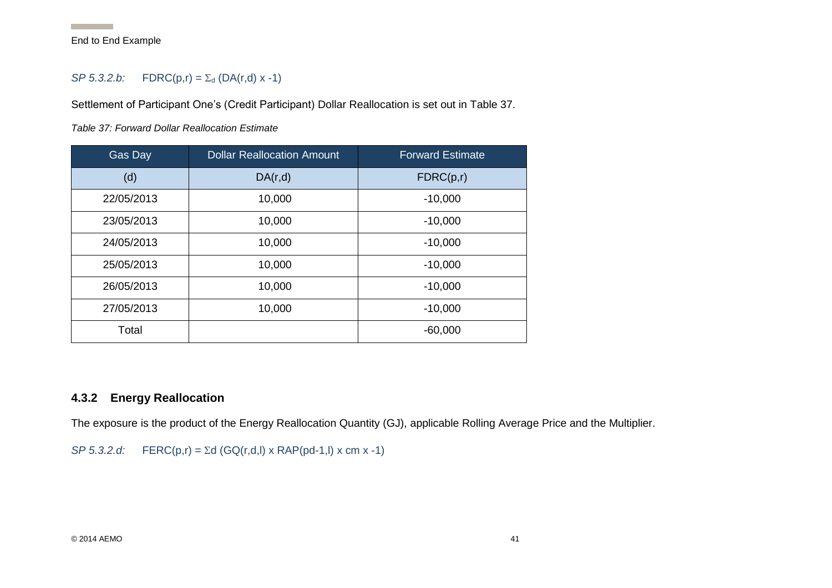#### *SP* 5.3.2.*b*: **FDRC**( $p, r$ ) =  $\Sigma_d$  (DA( $r, d$ ) x -1)

Settlement of Participant One's (Credit Participant) Dollar Reallocation is set out in [Table 37.](#page-41-3)

<span id="page-41-3"></span>*Table 37: Forward Dollar Reallocation Estimate*

| Gas Day    | <b>Dollar Reallocation Amount</b> | <b>Forward Estimate</b> |
|------------|-----------------------------------|-------------------------|
| (d)        | DA(r,d)                           | FDRC(p,r)               |
| 22/05/2013 | 10,000                            | $-10,000$               |
| 23/05/2013 | 10,000                            | $-10,000$               |
| 24/05/2013 | 10,000                            | $-10,000$               |
| 25/05/2013 | 10,000                            | $-10,000$               |
| 26/05/2013 | 10,000                            | $-10,000$               |
| 27/05/2013 | 10,000                            | $-10,000$               |
| Total      |                                   | $-60,000$               |

#### <span id="page-41-2"></span><span id="page-41-1"></span>**4.3.2 Energy Reallocation**

The exposure is the product of the Energy Reallocation Quantity (GJ), applicable Rolling Average Price and the Multiplier.

<span id="page-41-0"></span>*SP 5.3.2.d:* FERC(p,r) =  $\Sigma d$  (GQ(r,d,l) x RAP(pd-1,l) x cm x -1)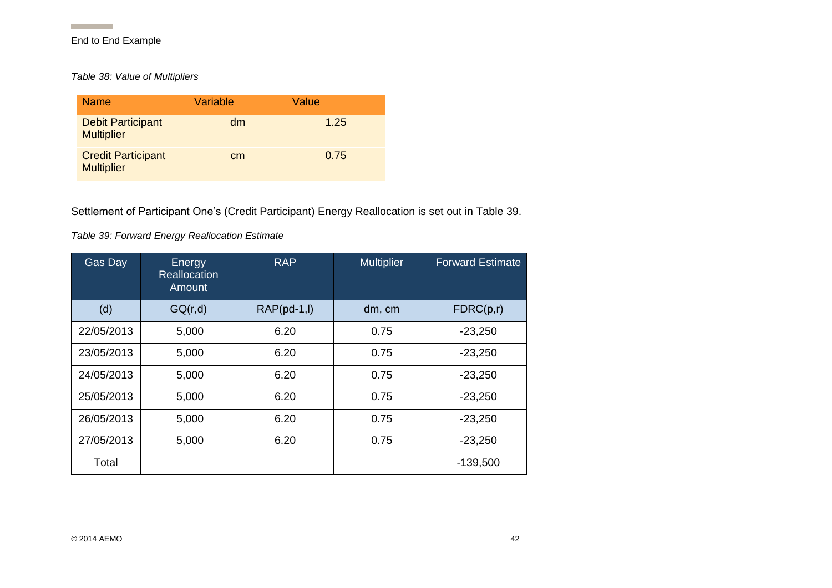**Contract Contract** 

*Table 38: Value of Multipliers*

| <b>Name</b>                                    | Variable | Value |
|------------------------------------------------|----------|-------|
| <b>Debit Participant</b><br><b>Multiplier</b>  | dm       | 1.25  |
| <b>Credit Participant</b><br><b>Multiplier</b> | cm       | 0.75  |

Settlement of Participant One's (Credit Participant) Energy Reallocation is set out in [Table 39.](#page-42-2)

#### <span id="page-42-2"></span>*Table 39: Forward Energy Reallocation Estimate*

<span id="page-42-1"></span><span id="page-42-0"></span>

| Gas Day    | Energy<br><b>Reallocation</b><br>Amount | <b>RAP</b>     | <b>Multiplier</b> | <b>Forward Estimate</b> |
|------------|-----------------------------------------|----------------|-------------------|-------------------------|
| (d)        | GQ(r,d)                                 | $RAP(pd-1, I)$ | dm, cm            | FDRC(p,r)               |
| 22/05/2013 | 5,000                                   | 6.20           | 0.75              | $-23,250$               |
| 23/05/2013 | 5,000                                   | 6.20           | 0.75              | $-23,250$               |
| 24/05/2013 | 5,000                                   | 6.20           | 0.75              | $-23,250$               |
| 25/05/2013 | 5,000                                   | 6.20           | 0.75              | $-23,250$               |
| 26/05/2013 | 5,000                                   | 6.20           | 0.75              | $-23,250$               |
| 27/05/2013 | 5,000                                   | 6.20           | 0.75              | $-23,250$               |
| Total      |                                         |                |                   | $-139,500$              |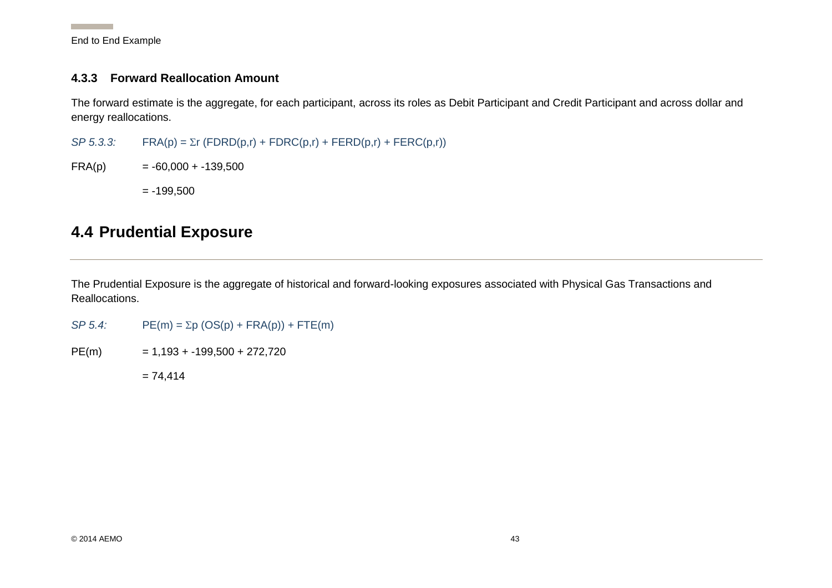**Contract Contract Contract** 

#### <span id="page-43-2"></span>**4.3.3 Forward Reallocation Amount**

The forward estimate is the aggregate, for each participant, across its roles as Debit Participant and Credit Participant and across dollar and energy reallocations.

 $SP 5.3.3$ : FRA(p) =  $\Sigma r$  (FDRD(p,r) + FDRC(p,r) + FERD(p,r) + FERC(p,r))

 $FRA(p) = -60,000 + -139,500$ 

 $= -199,500$ 

## **4.4 Prudential Exposure**

The Prudential Exposure is the aggregate of historical and forward-looking exposures associated with Physical Gas Transactions and Reallocations.

<span id="page-43-0"></span> $SP 5.4$ :  $PE(m) = \Sigma p (OS(p) + FRA(p)) + FTE(m)$ 

<span id="page-43-1"></span> $PE(m)$  = 1,193 + -199,500 + 272,720

 $= 74,414$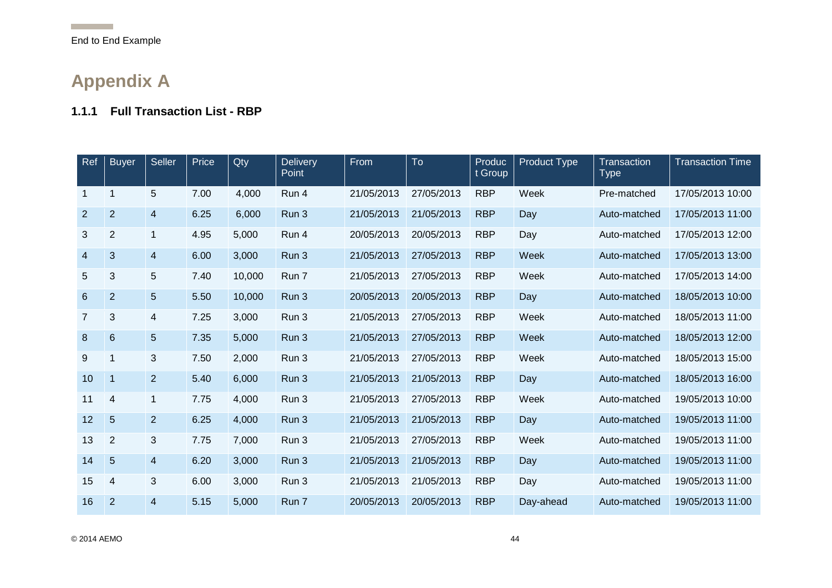**Contract Contract** 

## **Appendix A**

### **1.1.1 Full Transaction List - RBP**

<span id="page-44-1"></span><span id="page-44-0"></span>

| Ref            | <b>Buyer</b>   | Seller                  | Price | Qty    | Delivery<br>Point | From       | To         | Produc<br>t Group | <b>Product Type</b> | Transaction<br><b>Type</b> | <b>Transaction Time</b> |
|----------------|----------------|-------------------------|-------|--------|-------------------|------------|------------|-------------------|---------------------|----------------------------|-------------------------|
| $\mathbf 1$    | 1              | 5                       | 7.00  | 4,000  | Run 4             | 21/05/2013 | 27/05/2013 | <b>RBP</b>        | Week                | Pre-matched                | 17/05/2013 10:00        |
| $\overline{2}$ | $\overline{2}$ | $\overline{\mathbf{4}}$ | 6.25  | 6,000  | Run 3             | 21/05/2013 | 21/05/2013 | <b>RBP</b>        | Day                 | Auto-matched               | 17/05/2013 11:00        |
| 3              | $\overline{2}$ | $\mathbf{1}$            | 4.95  | 5,000  | Run 4             | 20/05/2013 | 20/05/2013 | <b>RBP</b>        | Day                 | Auto-matched               | 17/05/2013 12:00        |
| 4              | 3              | $\overline{\mathbf{4}}$ | 6.00  | 3,000  | Run 3             | 21/05/2013 | 27/05/2013 | <b>RBP</b>        | Week                | Auto-matched               | 17/05/2013 13:00        |
| 5              | 3              | 5                       | 7.40  | 10,000 | Run 7             | 21/05/2013 | 27/05/2013 | <b>RBP</b>        | Week                | Auto-matched               | 17/05/2013 14:00        |
| 6              | $\overline{2}$ | 5                       | 5.50  | 10,000 | Run 3             | 20/05/2013 | 20/05/2013 | <b>RBP</b>        | Day                 | Auto-matched               | 18/05/2013 10:00        |
| $\overline{7}$ | 3              | $\overline{4}$          | 7.25  | 3,000  | Run 3             | 21/05/2013 | 27/05/2013 | <b>RBP</b>        | Week                | Auto-matched               | 18/05/2013 11:00        |
| 8              | 6              | 5                       | 7.35  | 5,000  | Run 3             | 21/05/2013 | 27/05/2013 | <b>RBP</b>        | Week                | Auto-matched               | 18/05/2013 12:00        |
| 9              |                | 3                       | 7.50  | 2,000  | Run 3             | 21/05/2013 | 27/05/2013 | <b>RBP</b>        | Week                | Auto-matched               | 18/05/2013 15:00        |
| 10             | 1              | $\overline{2}$          | 5.40  | 6,000  | Run 3             | 21/05/2013 | 21/05/2013 | <b>RBP</b>        | Day                 | Auto-matched               | 18/05/2013 16:00        |
| 11             | 4              | $\mathbf{1}$            | 7.75  | 4,000  | Run 3             | 21/05/2013 | 27/05/2013 | <b>RBP</b>        | Week                | Auto-matched               | 19/05/2013 10:00        |
| 12             | 5              | $\overline{2}$          | 6.25  | 4,000  | Run 3             | 21/05/2013 | 21/05/2013 | <b>RBP</b>        | Day                 | Auto-matched               | 19/05/2013 11:00        |
| 13             | $\overline{2}$ | 3                       | 7.75  | 7,000  | Run 3             | 21/05/2013 | 27/05/2013 | <b>RBP</b>        | Week                | Auto-matched               | 19/05/2013 11:00        |
| 14             | 5              | $\overline{4}$          | 6.20  | 3,000  | Run 3             | 21/05/2013 | 21/05/2013 | <b>RBP</b>        | Day                 | Auto-matched               | 19/05/2013 11:00        |
| 15             | 4              | 3                       | 6.00  | 3,000  | Run 3             | 21/05/2013 | 21/05/2013 | <b>RBP</b>        | Day                 | Auto-matched               | 19/05/2013 11:00        |
| 16             | $\overline{2}$ | $\overline{4}$          | 5.15  | 5,000  | Run 7             | 20/05/2013 | 20/05/2013 | <b>RBP</b>        | Day-ahead           | Auto-matched               | 19/05/2013 11:00        |